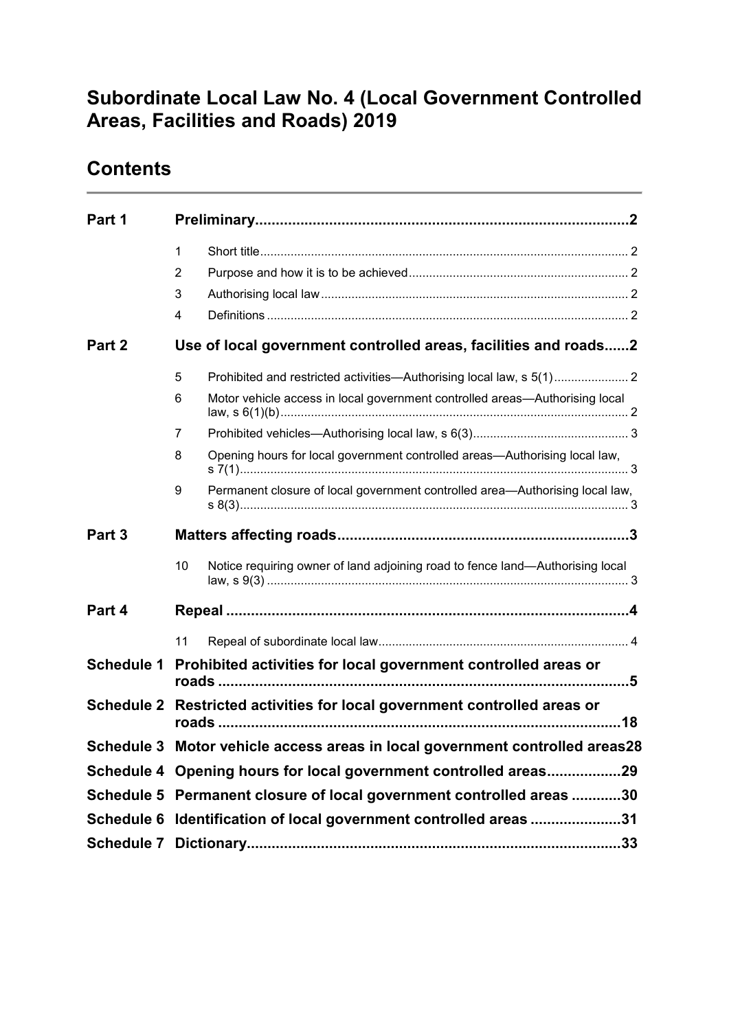# **Subordinate Local Law No. 4 (Local Government Controlled Areas, Facilities and Roads) 2019**

## **Contents**

| Part 1            |    |                                                                               |  |  |  |  |
|-------------------|----|-------------------------------------------------------------------------------|--|--|--|--|
|                   | 1  |                                                                               |  |  |  |  |
|                   | 2  |                                                                               |  |  |  |  |
|                   | 3  |                                                                               |  |  |  |  |
|                   | 4  |                                                                               |  |  |  |  |
| Part 2            |    | Use of local government controlled areas, facilities and roads2               |  |  |  |  |
|                   | 5  |                                                                               |  |  |  |  |
|                   | 6  | Motor vehicle access in local government controlled areas-Authorising local   |  |  |  |  |
|                   | 7  |                                                                               |  |  |  |  |
|                   | 8  | Opening hours for local government controlled areas—Authorising local law,    |  |  |  |  |
|                   | 9  | Permanent closure of local government controlled area-Authorising local law,  |  |  |  |  |
| Part 3            |    |                                                                               |  |  |  |  |
|                   | 10 | Notice requiring owner of land adjoining road to fence land-Authorising local |  |  |  |  |
| Part 4            |    |                                                                               |  |  |  |  |
|                   | 11 |                                                                               |  |  |  |  |
| <b>Schedule 1</b> |    | Prohibited activities for local government controlled areas or                |  |  |  |  |
| <b>Schedule 2</b> |    | Restricted activities for local government controlled areas or                |  |  |  |  |
|                   |    | Schedule 3 Motor vehicle access areas in local government controlled areas28  |  |  |  |  |
|                   |    | Schedule 4 Opening hours for local government controlled areas29              |  |  |  |  |
|                   |    | Schedule 5 Permanent closure of local government controlled areas 30          |  |  |  |  |
|                   |    | Schedule 6 Identification of local government controlled areas 31             |  |  |  |  |
|                   |    |                                                                               |  |  |  |  |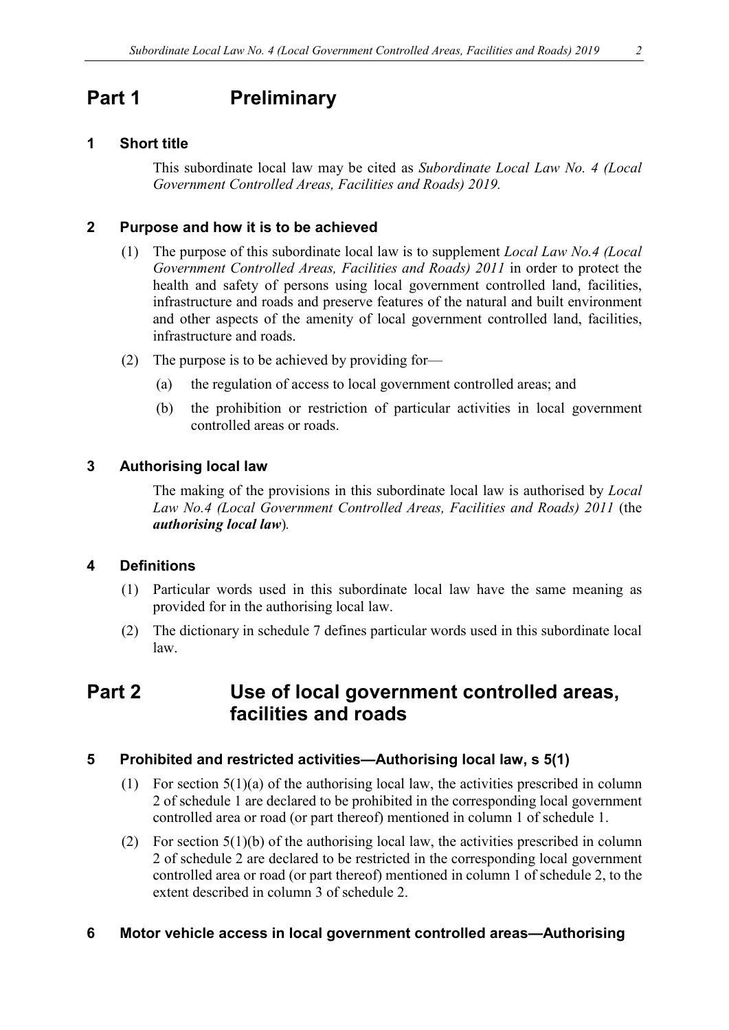# <span id="page-1-0"></span>**Part 1 Preliminary**

### <span id="page-1-1"></span>**1 Short title**

This subordinate local law may be cited as *Subordinate Local Law No. 4 (Local Government Controlled Areas, Facilities and Roads) 2019.*

### <span id="page-1-2"></span>**2 Purpose and how it is to be achieved**

- (1) The purpose of this subordinate local law is to supplement *Local Law No.4 (Local Government Controlled Areas, Facilities and Roads) 2011* in order to protect the health and safety of persons using local government controlled land, facilities, infrastructure and roads and preserve features of the natural and built environment and other aspects of the amenity of local government controlled land, facilities, infrastructure and roads.
- (2) The purpose is to be achieved by providing for—
	- (a) the regulation of access to local government controlled areas; and
	- (b) the prohibition or restriction of particular activities in local government controlled areas or roads.

### <span id="page-1-3"></span>**3 Authorising local law**

The making of the provisions in this subordinate local law is authorised by *Local Law No.4 (Local Government Controlled Areas, Facilities and Roads) 2011* (the *authorising local law*)*.*

### <span id="page-1-4"></span>**4 Definitions**

- (1) Particular words used in this subordinate local law have the same meaning as provided for in the authorising local law.
- (2) The dictionary in schedule 7 defines particular words used in this subordinate local law.

## <span id="page-1-5"></span>**Part 2 Use of local government controlled areas, facilities and roads**

### <span id="page-1-6"></span>**5 Prohibited and restricted activities—Authorising local law, s 5(1)**

- (1) For section 5(1)(a) of the authorising local law, the activities prescribed in column 2 of schedule 1 are declared to be prohibited in the corresponding local government controlled area or road (or part thereof) mentioned in column 1 of schedule 1.
- (2) For section 5(1)(b) of the authorising local law, the activities prescribed in column 2 of schedule 2 are declared to be restricted in the corresponding local government controlled area or road (or part thereof) mentioned in column 1 of schedule 2, to the extent described in column 3 of schedule 2.

### <span id="page-1-7"></span>**6 Motor vehicle access in local government controlled areas—Authorising**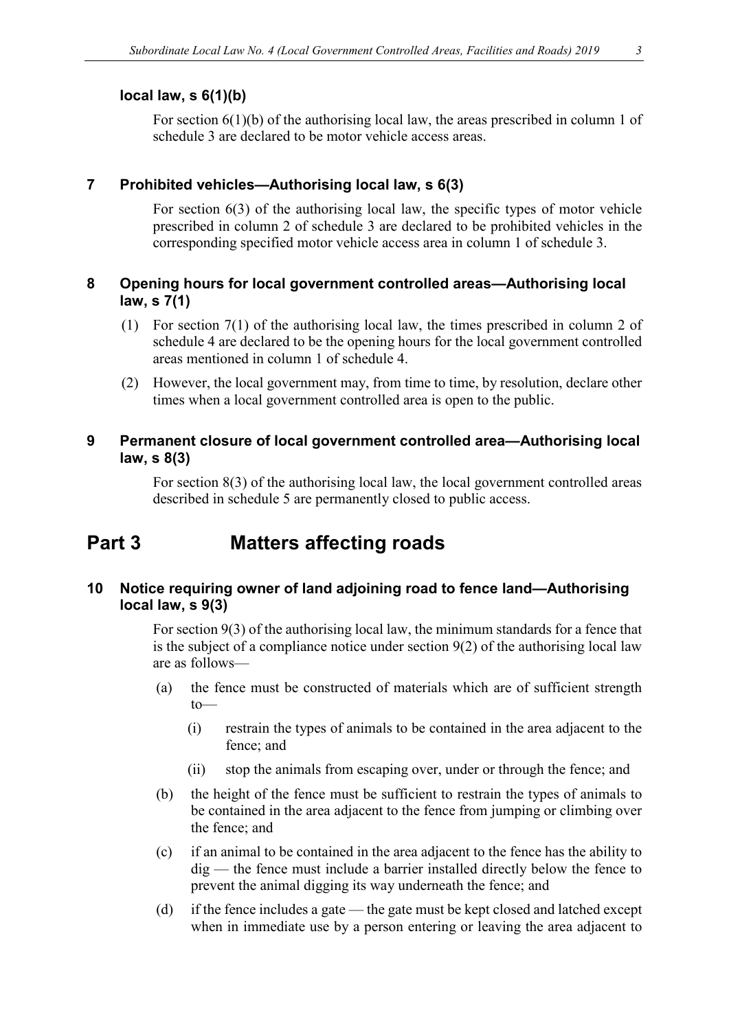#### **local law, s 6(1)(b)**

For section 6(1)(b) of the authorising local law, the areas prescribed in column 1 of schedule 3 are declared to be motor vehicle access areas.

#### <span id="page-2-0"></span>**7 Prohibited vehicles—Authorising local law, s 6(3)**

For section 6(3) of the authorising local law, the specific types of motor vehicle prescribed in column 2 of schedule 3 are declared to be prohibited vehicles in the corresponding specified motor vehicle access area in column 1 of schedule 3.

### <span id="page-2-1"></span>**8 Opening hours for local government controlled areas—Authorising local law, s 7(1)**

- (1) For section 7(1) of the authorising local law, the times prescribed in column 2 of schedule 4 are declared to be the opening hours for the local government controlled areas mentioned in column 1 of schedule 4.
- (2) However, the local government may, from time to time, by resolution, declare other times when a local government controlled area is open to the public.

### <span id="page-2-2"></span>**9 Permanent closure of local government controlled area—Authorising local law, s 8(3)**

For section 8(3) of the authorising local law, the local government controlled areas described in schedule 5 are permanently closed to public access.

## <span id="page-2-3"></span>**Part 3 Matters affecting roads**

### <span id="page-2-4"></span>**10 Notice requiring owner of land adjoining road to fence land—Authorising local law, s 9(3)**

For section 9(3) of the authorising local law, the minimum standards for a fence that is the subject of a compliance notice under section 9(2) of the authorising local law are as follows—

- (a) the fence must be constructed of materials which are of sufficient strength to—
	- (i) restrain the types of animals to be contained in the area adjacent to the fence; and
	- (ii) stop the animals from escaping over, under or through the fence; and
- (b) the height of the fence must be sufficient to restrain the types of animals to be contained in the area adjacent to the fence from jumping or climbing over the fence; and
- (c) if an animal to be contained in the area adjacent to the fence has the ability to dig — the fence must include a barrier installed directly below the fence to prevent the animal digging its way underneath the fence; and
- (d) if the fence includes a gate the gate must be kept closed and latched except when in immediate use by a person entering or leaving the area adjacent to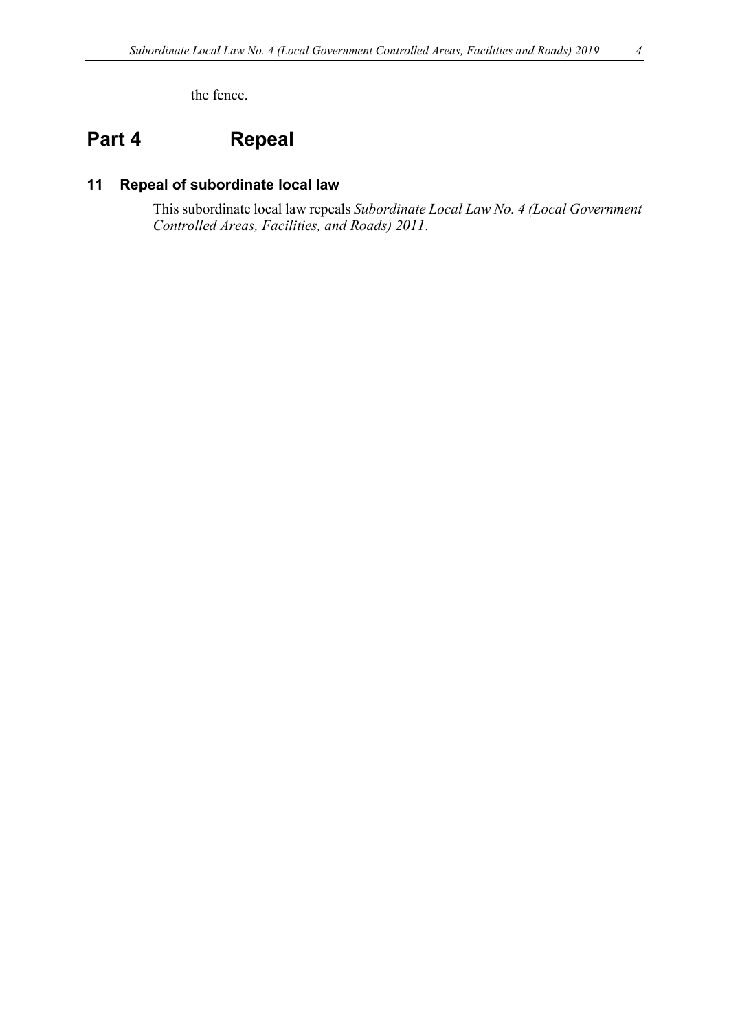the fence.

# <span id="page-3-0"></span>**Part 4 Repeal**

### <span id="page-3-1"></span>**11 Repeal of subordinate local law**

This subordinate local law repeals *Subordinate Local Law No. 4 (Local Government Controlled Areas, Facilities, and Roads) 2011*.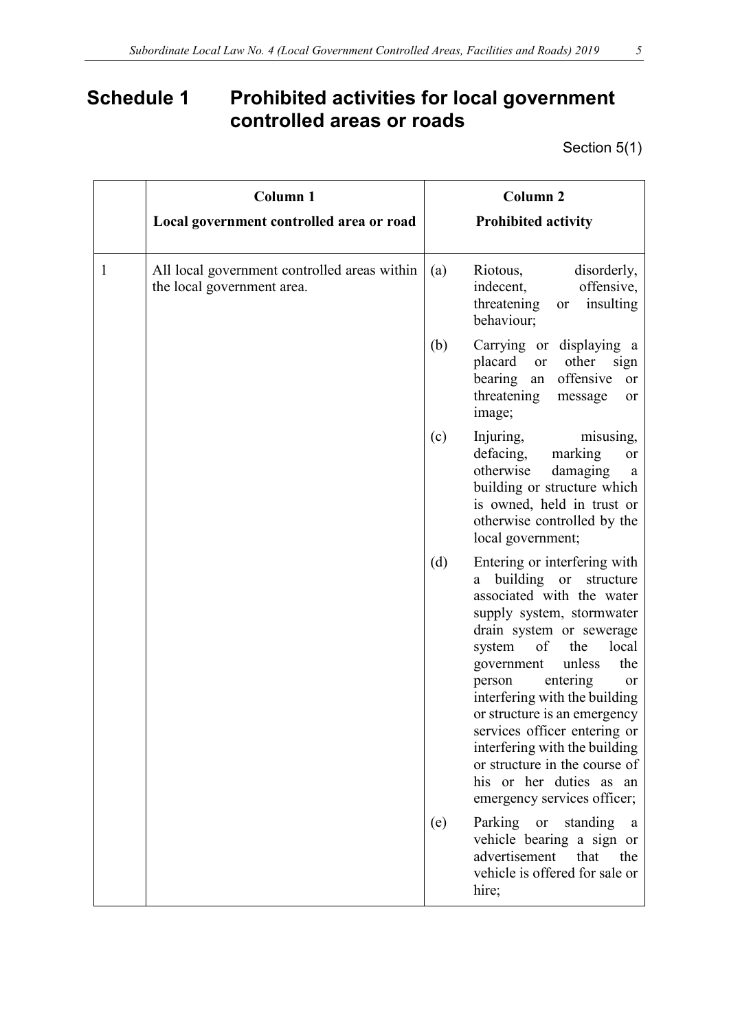# <span id="page-4-0"></span>**Schedule 1 Prohibited activities for local government controlled areas or roads**

Section 5(1)

|              | <b>Column 1</b>                                                            | <b>Column 2</b>                                                                                                                                                                                                                                                                                                                                                                                                                                                                           |
|--------------|----------------------------------------------------------------------------|-------------------------------------------------------------------------------------------------------------------------------------------------------------------------------------------------------------------------------------------------------------------------------------------------------------------------------------------------------------------------------------------------------------------------------------------------------------------------------------------|
|              | Local government controlled area or road                                   | <b>Prohibited activity</b>                                                                                                                                                                                                                                                                                                                                                                                                                                                                |
| $\mathbf{1}$ | All local government controlled areas within<br>the local government area. | Riotous,<br>disorderly,<br>(a)<br>indecent,<br>offensive,<br>insulting<br>threatening<br>or<br>behaviour;                                                                                                                                                                                                                                                                                                                                                                                 |
|              |                                                                            | (b)<br>Carrying or displaying a<br>placard<br>or other<br>sign<br>offensive<br>bearing an<br>or<br>threatening<br>message<br>or<br>image;                                                                                                                                                                                                                                                                                                                                                 |
|              |                                                                            | (c)<br>Injuring,<br>misusing,<br>defacing,<br>marking<br>or<br>otherwise<br>damaging<br><sub>a</sub><br>building or structure which<br>is owned, held in trust or<br>otherwise controlled by the<br>local government;                                                                                                                                                                                                                                                                     |
|              |                                                                            | (d)<br>Entering or interfering with<br>building or<br>structure<br>a<br>associated with the water<br>supply system, stormwater<br>drain system or sewerage<br>of<br>system<br>the<br>local<br>the<br>unless<br>government<br>entering<br>person<br><b>or</b><br>interfering with the building<br>or structure is an emergency<br>services officer entering or<br>interfering with the building<br>or structure in the course of<br>his or her duties as an<br>emergency services officer; |
|              |                                                                            | Parking or<br>(e)<br>standing<br>a<br>vehicle bearing a sign or<br>advertisement<br>that<br>the<br>vehicle is offered for sale or<br>hire;                                                                                                                                                                                                                                                                                                                                                |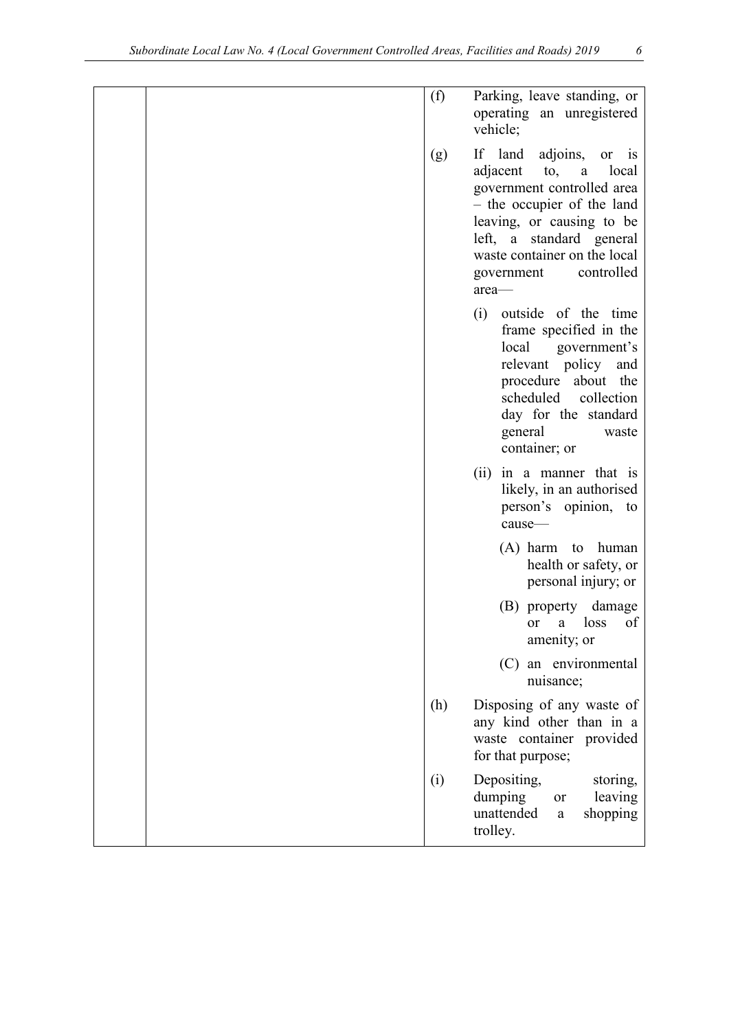| (f) | Parking, leave standing, or<br>operating an unregistered<br>vehicle;                                                                                                                                                                                                      |
|-----|---------------------------------------------------------------------------------------------------------------------------------------------------------------------------------------------------------------------------------------------------------------------------|
| (g) | If land adjoins,<br>or<br>$\overline{1}$<br>adjacent<br>to,<br>local<br>$\rm{a}$<br>government controlled area<br>- the occupier of the land<br>leaving, or causing to be<br>left, a standard general<br>waste container on the local<br>controlled<br>government<br>area |
|     | (i) outside of the time<br>frame specified in the<br>local<br>government's<br>relevant policy and<br>procedure about the<br>scheduled<br>collection<br>day for the standard<br>general<br>waste<br>container; or                                                          |
|     | (ii) in a manner that is<br>likely, in an authorised<br>person's opinion, to<br>cause-                                                                                                                                                                                    |
|     | (A) harm to human<br>health or safety, or<br>personal injury; or                                                                                                                                                                                                          |
|     | (B) property damage<br>loss<br>of<br>or<br>a<br>amenity; or                                                                                                                                                                                                               |
|     | (C) an environmental<br>nuisance;                                                                                                                                                                                                                                         |
| (h) | Disposing of any waste of<br>any kind other than in a<br>waste container provided<br>for that purpose;                                                                                                                                                                    |
| (i) | Depositing,<br>storing,<br>dumping<br>leaving<br><b>or</b><br>unattended<br>shopping<br>a<br>trolley.                                                                                                                                                                     |
|     |                                                                                                                                                                                                                                                                           |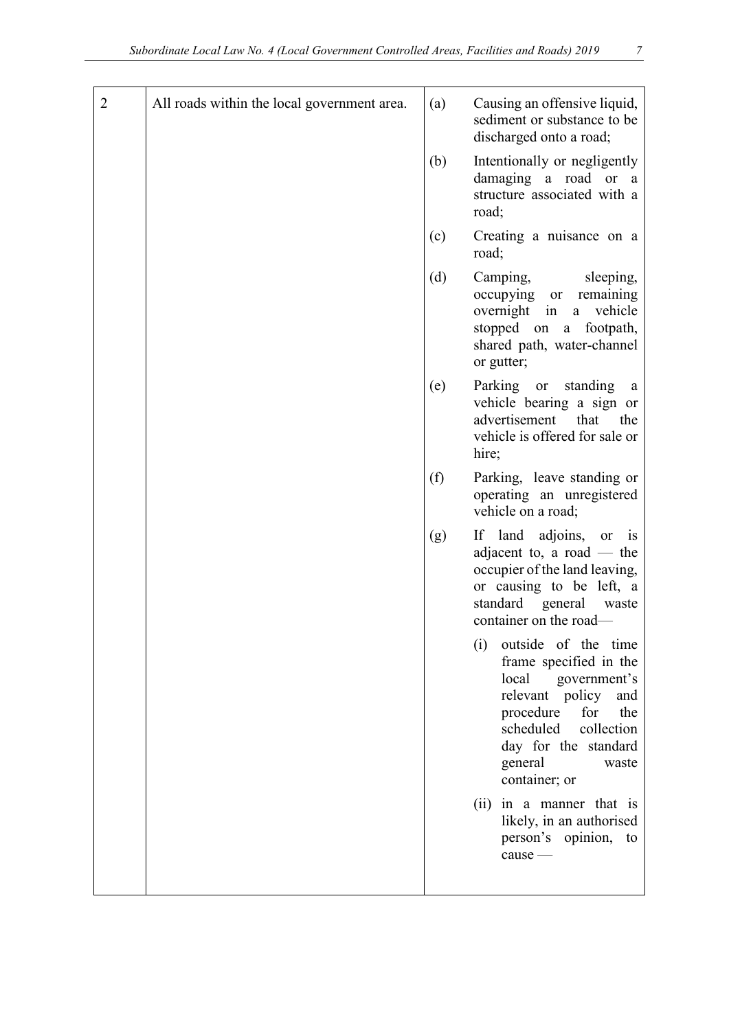| 2 | All roads within the local government area. | (a) | Causing an offensive liquid,<br>sediment or substance to be<br>discharged onto a road;                                                                                                                                  |
|---|---------------------------------------------|-----|-------------------------------------------------------------------------------------------------------------------------------------------------------------------------------------------------------------------------|
|   |                                             | (b) | Intentionally or negligently<br>damaging a road or a<br>structure associated with a<br>road;                                                                                                                            |
|   |                                             | (c) | Creating a nuisance on a<br>road;                                                                                                                                                                                       |
|   |                                             | (d) | Camping,<br>sleeping,<br>occupying or<br>remaining<br>vehicle<br>overnight in<br>a<br>stopped on a footpath,<br>shared path, water-channel<br>or gutter;                                                                |
|   |                                             | (e) | Parking or<br>standing<br>a<br>vehicle bearing a sign or<br>advertisement that<br>the<br>vehicle is offered for sale or<br>hire;                                                                                        |
|   |                                             | (f) | Parking, leave standing or<br>operating an unregistered<br>vehicle on a road;                                                                                                                                           |
|   |                                             | (g) | If land adjoins, or is<br>adjacent to, a road $-$ the<br>occupier of the land leaving,<br>or causing to be left, a<br>standard general<br>waste<br>container on the road—                                               |
|   |                                             |     | (i)<br>outside of the time<br>frame specified in the<br>local government's<br>relevant policy<br>and<br>procedure<br>for<br>the<br>scheduled<br>collection<br>day for the standard<br>general<br>waste<br>container; or |
|   |                                             |     | in a manner that is<br>(ii)<br>likely, in an authorised<br>person's opinion, to<br>$cause$ —                                                                                                                            |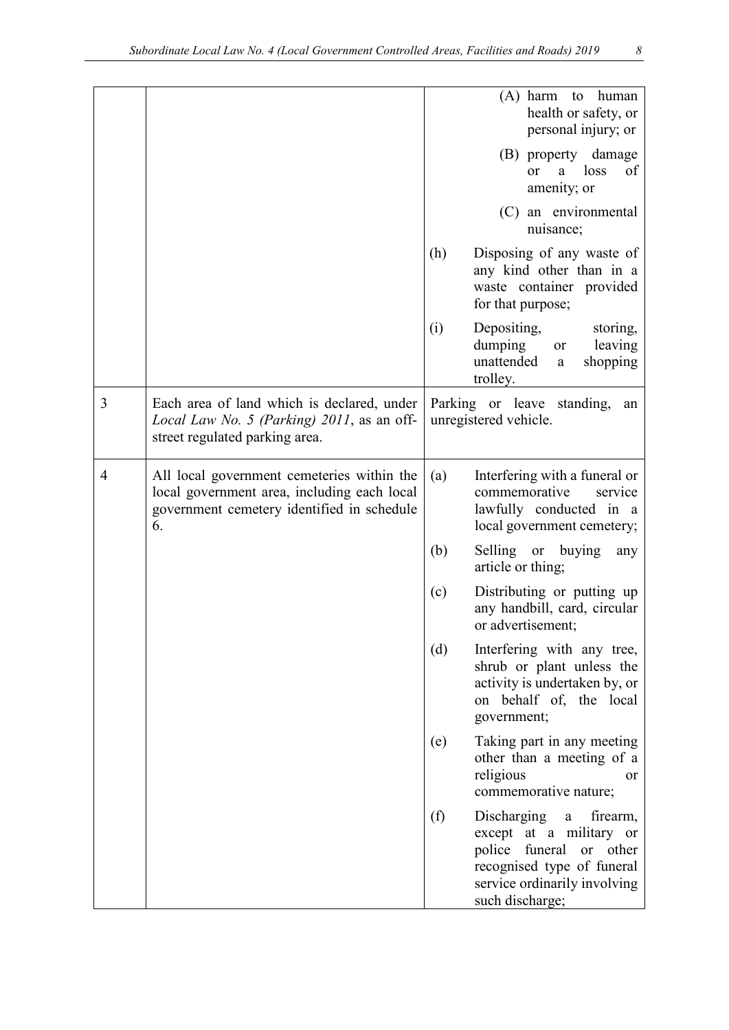|   |                                                                                                                                               |     | $(A)$ harm<br>human<br>to<br>health or safety, or<br>personal injury; or                                                                                            |
|---|-----------------------------------------------------------------------------------------------------------------------------------------------|-----|---------------------------------------------------------------------------------------------------------------------------------------------------------------------|
|   |                                                                                                                                               |     | (B) property damage<br>loss<br>of<br>a<br><sub>or</sub><br>amenity; or                                                                                              |
|   |                                                                                                                                               |     | (C) an environmental<br>nuisance;                                                                                                                                   |
|   |                                                                                                                                               | (h) | Disposing of any waste of<br>any kind other than in a<br>waste container provided<br>for that purpose;                                                              |
|   |                                                                                                                                               | (i) | Depositing,<br>storing,<br>leaving<br>dumping<br>or<br>unattended<br>shopping<br>a<br>trolley.                                                                      |
| 3 | Each area of land which is declared, under<br>Local Law No. 5 (Parking) 2011, as an off-<br>street regulated parking area.                    |     | Parking or leave standing,<br>an<br>unregistered vehicle.                                                                                                           |
| 4 | All local government cemeteries within the<br>local government area, including each local<br>government cemetery identified in schedule<br>6. | (a) | Interfering with a funeral or<br>commemorative<br>service<br>lawfully conducted in a<br>local government cemetery;                                                  |
|   |                                                                                                                                               | (b) | Selling or buying<br>any<br>article or thing;                                                                                                                       |
|   |                                                                                                                                               | (c) | Distributing or putting up<br>any handbill, card, circular<br>or advertisement;                                                                                     |
|   |                                                                                                                                               | (d) | Interfering with any tree,<br>shrub or plant unless the<br>activity is undertaken by, or<br>on behalf of, the local<br>government;                                  |
|   |                                                                                                                                               | (e) | Taking part in any meeting<br>other than a meeting of a<br>religious<br><b>or</b><br>commemorative nature;                                                          |
|   |                                                                                                                                               | (f) | Discharging<br>firearm,<br>a<br>except at a military or<br>police funeral or other<br>recognised type of funeral<br>service ordinarily involving<br>such discharge; |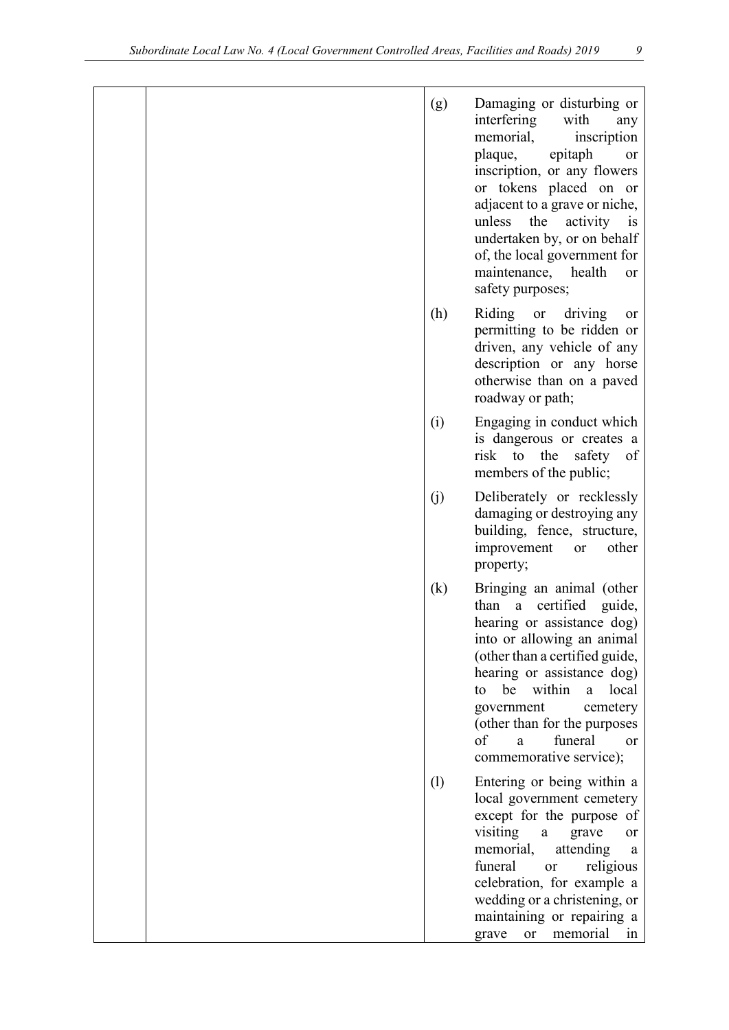| (g)                        | Damaging or disturbing or<br>interfering<br>with<br>any<br>memorial,<br>inscription<br>plaque,<br>epitaph<br>or<br>inscription, or any flowers<br>or tokens placed on or<br>adjacent to a grave or niche,<br>the<br>activity<br>unless<br>$\mathbf{1}$<br>undertaken by, or on behalf<br>of, the local government for<br>maintenance, health<br>or<br>safety purposes; |
|----------------------------|------------------------------------------------------------------------------------------------------------------------------------------------------------------------------------------------------------------------------------------------------------------------------------------------------------------------------------------------------------------------|
| (h)                        | Riding or driving<br>or<br>permitting to be ridden or<br>driven, any vehicle of any<br>description or any horse<br>otherwise than on a paved<br>roadway or path;                                                                                                                                                                                                       |
| (i)                        | Engaging in conduct which<br>is dangerous or creates a<br>risk to<br>the<br>safety<br>of<br>members of the public;                                                                                                                                                                                                                                                     |
| (j)                        | Deliberately or recklessly<br>damaging or destroying any<br>building, fence, structure,<br>improvement<br>other<br>or<br>property;                                                                                                                                                                                                                                     |
| $\left( \mathrm{k}\right)$ | Bringing an animal (other<br>certified guide,<br>than a<br>hearing or assistance dog)<br>into or allowing an animal<br>(other than a certified guide,<br>hearing or assistance dog)<br>be<br>within<br>local<br>a<br>to<br>government<br>cemetery<br>(other than for the purposes<br>funeral<br>of<br>a<br>or<br>commemorative service);                               |
| (1)                        | Entering or being within a<br>local government cemetery<br>except for the purpose of<br>visiting<br>grave<br>a<br><sub>or</sub><br>memorial,<br>attending<br>a<br>funeral<br>religious<br><sub>or</sub><br>celebration, for example a<br>wedding or a christening, or<br>maintaining or repairing a<br>memorial<br>grave<br><b>or</b><br>in                            |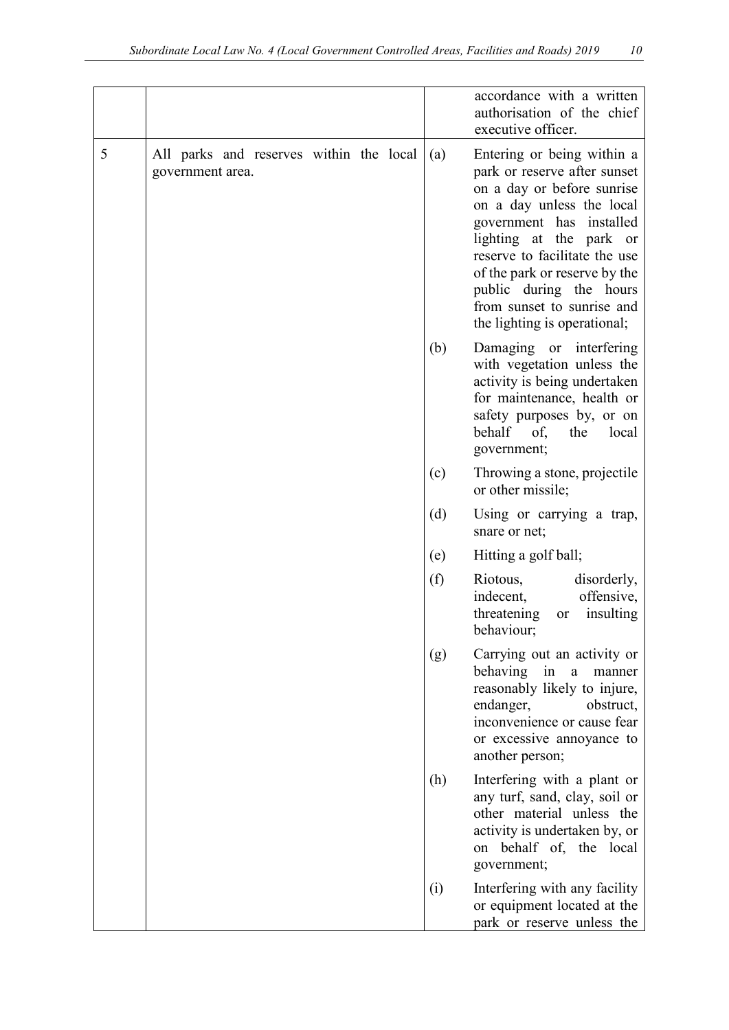|   |                                                             |     | accordance with a written<br>authorisation of the chief<br>executive officer.                                                                                                                                                                                                                                                           |
|---|-------------------------------------------------------------|-----|-----------------------------------------------------------------------------------------------------------------------------------------------------------------------------------------------------------------------------------------------------------------------------------------------------------------------------------------|
| 5 | All parks and reserves within the local<br>government area. | (a) | Entering or being within a<br>park or reserve after sunset<br>on a day or before sunrise<br>on a day unless the local<br>government has installed<br>lighting at the park or<br>reserve to facilitate the use<br>of the park or reserve by the<br>public during the hours<br>from sunset to sunrise and<br>the lighting is operational; |
|   |                                                             | (b) | Damaging or interfering<br>with vegetation unless the<br>activity is being undertaken<br>for maintenance, health or<br>safety purposes by, or on<br>behalf<br>the<br>of,<br>local<br>government;                                                                                                                                        |
|   |                                                             | (c) | Throwing a stone, projectile<br>or other missile;                                                                                                                                                                                                                                                                                       |
|   |                                                             | (d) | Using or carrying a trap,<br>snare or net;                                                                                                                                                                                                                                                                                              |
|   |                                                             | (e) | Hitting a golf ball;                                                                                                                                                                                                                                                                                                                    |
|   |                                                             | (f) | Riotous,<br>disorderly,<br>offensive,<br>indecent,<br>threatening<br>insulting<br>or<br>behaviour;                                                                                                                                                                                                                                      |
|   |                                                             | (g) | Carrying out an activity or<br>behaving<br>in<br>$\mathbf{a}$<br>manner<br>reasonably likely to injure,<br>endanger,<br>obstruct,<br>inconvenience or cause fear<br>or excessive annoyance to<br>another person;                                                                                                                        |
|   |                                                             | (h) | Interfering with a plant or<br>any turf, sand, clay, soil or<br>other material unless the<br>activity is undertaken by, or<br>on behalf of, the local<br>government;                                                                                                                                                                    |
|   |                                                             | (i) | Interfering with any facility<br>or equipment located at the<br>park or reserve unless the                                                                                                                                                                                                                                              |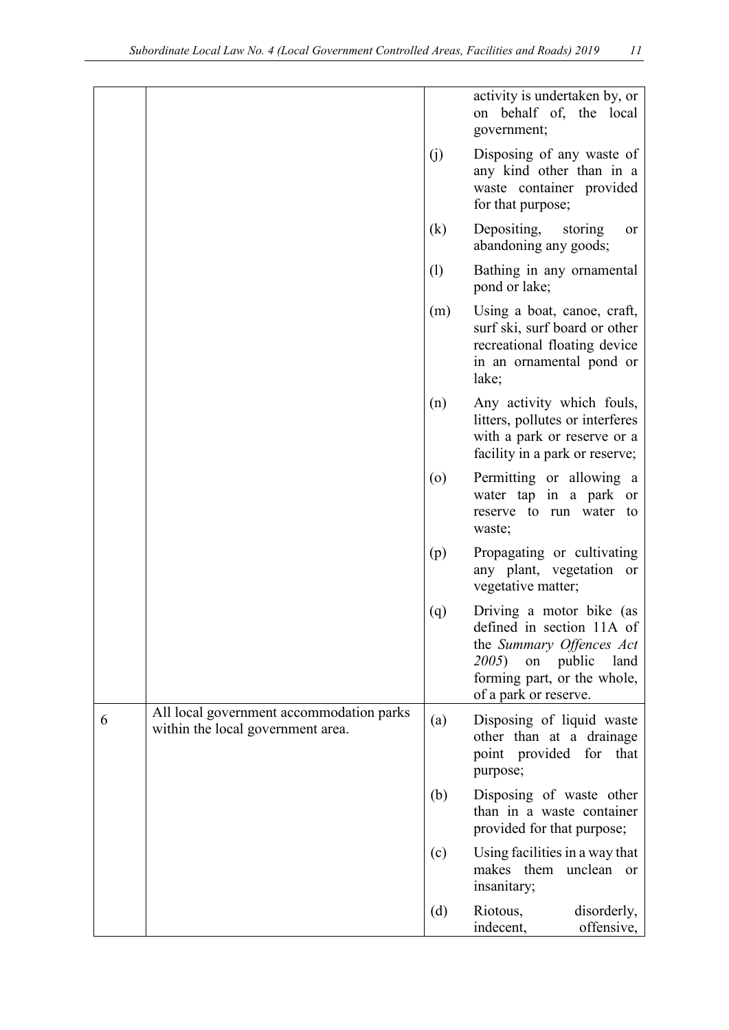|   |                                                                               |                            | activity is undertaken by, or<br>on behalf of, the local<br>government;                                                                                                |
|---|-------------------------------------------------------------------------------|----------------------------|------------------------------------------------------------------------------------------------------------------------------------------------------------------------|
|   |                                                                               | (j)                        | Disposing of any waste of<br>any kind other than in a<br>waste container provided<br>for that purpose;                                                                 |
|   |                                                                               | $\left( \mathrm{k}\right)$ | Depositing,<br>storing<br>or<br>abandoning any goods;                                                                                                                  |
|   |                                                                               | (1)                        | Bathing in any ornamental<br>pond or lake;                                                                                                                             |
|   |                                                                               | (m)                        | Using a boat, canoe, craft,<br>surf ski, surf board or other<br>recreational floating device<br>in an ornamental pond or<br>lake;                                      |
|   |                                                                               | (n)                        | Any activity which fouls,<br>litters, pollutes or interferes<br>with a park or reserve or a<br>facility in a park or reserve;                                          |
|   |                                                                               | $\left( 0 \right)$         | Permitting or allowing a<br>water tap in a park or<br>reserve to run water to<br>waste;                                                                                |
|   |                                                                               | (p)                        | Propagating or cultivating<br>any plant, vegetation or<br>vegetative matter;                                                                                           |
|   |                                                                               | (q)                        | Driving a motor bike (as<br>defined in section 11A of<br>the Summary Offences Act<br>on public<br>2005<br>land<br>forming part, or the whole,<br>of a park or reserve. |
| 6 | All local government accommodation parks<br>within the local government area. | (a)                        | Disposing of liquid waste<br>other than at a drainage<br>point provided for that<br>purpose;                                                                           |
|   |                                                                               | (b)                        | Disposing of waste other<br>than in a waste container<br>provided for that purpose;                                                                                    |
|   |                                                                               | (c)                        | Using facilities in a way that<br>makes them unclean or<br>insanitary;                                                                                                 |
|   |                                                                               | (d)                        | Riotous,<br>disorderly,<br>indecent,<br>offensive,                                                                                                                     |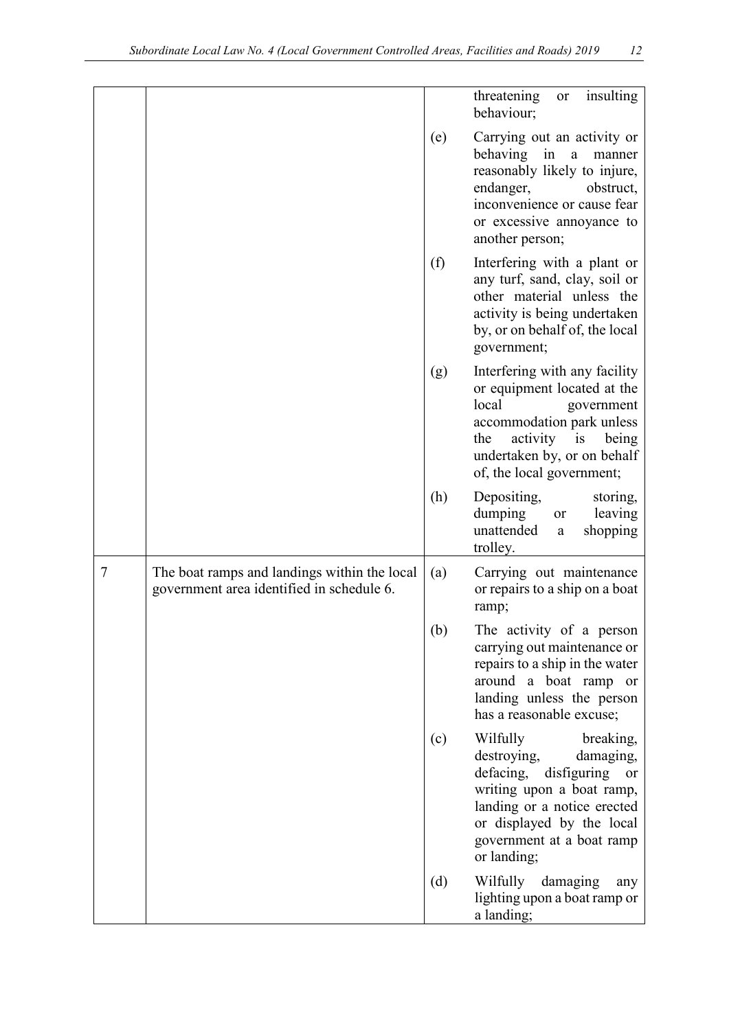|                |                                                                                           |     | insulting<br>threatening<br>or<br>behaviour;                                                                                                                                                                                     |
|----------------|-------------------------------------------------------------------------------------------|-----|----------------------------------------------------------------------------------------------------------------------------------------------------------------------------------------------------------------------------------|
|                |                                                                                           | (e) | Carrying out an activity or<br>behaving in<br>a<br>manner<br>reasonably likely to injure,<br>endanger,<br>obstruct,<br>inconvenience or cause fear<br>or excessive annoyance to<br>another person;                               |
|                |                                                                                           | (f) | Interfering with a plant or<br>any turf, sand, clay, soil or<br>other material unless the<br>activity is being undertaken<br>by, or on behalf of, the local<br>government;                                                       |
|                |                                                                                           | (g) | Interfering with any facility<br>or equipment located at the<br>local<br>government<br>accommodation park unless<br>activity is being<br>the<br>undertaken by, or on behalf<br>of, the local government;                         |
|                |                                                                                           | (h) | Depositing,<br>storing,<br>dumping<br>leaving<br><b>or</b><br>unattended<br>shopping<br>$\mathbf{a}$<br>trolley.                                                                                                                 |
| $\overline{7}$ | The boat ramps and landings within the local<br>government area identified in schedule 6. | (a) | Carrying out maintenance<br>or repairs to a ship on a boat<br>ramp;                                                                                                                                                              |
|                |                                                                                           | (b) | The activity of a person<br>carrying out maintenance or<br>repairs to a ship in the water<br>around a boat ramp or<br>landing unless the person<br>has a reasonable excuse;                                                      |
|                |                                                                                           | (c) | Wilfully<br>breaking,<br>destroying,<br>damaging,<br>defacing, disfiguring<br><sub>or</sub><br>writing upon a boat ramp,<br>landing or a notice erected<br>or displayed by the local<br>government at a boat ramp<br>or landing; |
|                |                                                                                           | (d) | Wilfully damaging<br>any<br>lighting upon a boat ramp or<br>a landing;                                                                                                                                                           |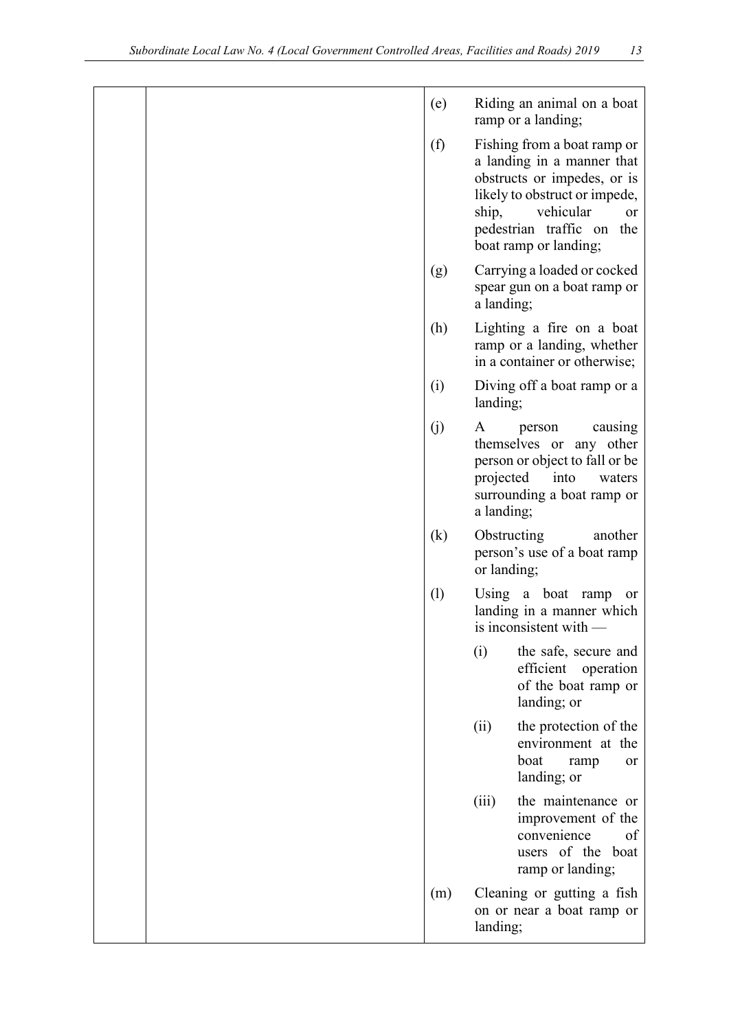|  | (e) |                              | Riding an animal on a boat<br>ramp or a landing;                                                                                                                                                              |
|--|-----|------------------------------|---------------------------------------------------------------------------------------------------------------------------------------------------------------------------------------------------------------|
|  | (f) | ship,                        | Fishing from a boat ramp or<br>a landing in a manner that<br>obstructs or impedes, or is<br>likely to obstruct or impede,<br>vehicular<br><sub>or</sub><br>pedestrian traffic on the<br>boat ramp or landing; |
|  | (g) | a landing;                   | Carrying a loaded or cocked<br>spear gun on a boat ramp or                                                                                                                                                    |
|  | (h) |                              | Lighting a fire on a boat<br>ramp or a landing, whether<br>in a container or otherwise;                                                                                                                       |
|  | (i) | landing;                     | Diving off a boat ramp or a                                                                                                                                                                                   |
|  | (j) | A<br>projected<br>a landing; | person<br>causing<br>themselves or any other<br>person or object to fall or be<br>into<br>waters<br>surrounding a boat ramp or                                                                                |
|  | (k) | Obstructing<br>or landing;   | another<br>person's use of a boat ramp                                                                                                                                                                        |
|  | (1) |                              | Using a boat ramp<br>or<br>landing in a manner which<br>is inconsistent with -                                                                                                                                |
|  |     | (i)                          | the safe, secure and<br>efficient operation<br>of the boat ramp or<br>landing; or                                                                                                                             |
|  |     | (ii)                         | the protection of the<br>environment at the<br>boat<br>ramp<br>or<br>landing; or                                                                                                                              |
|  |     | (iii)                        | the maintenance or<br>improvement of the<br>convenience<br>of<br>users of the boat<br>ramp or landing;                                                                                                        |
|  | (m) | landing;                     | Cleaning or gutting a fish<br>on or near a boat ramp or                                                                                                                                                       |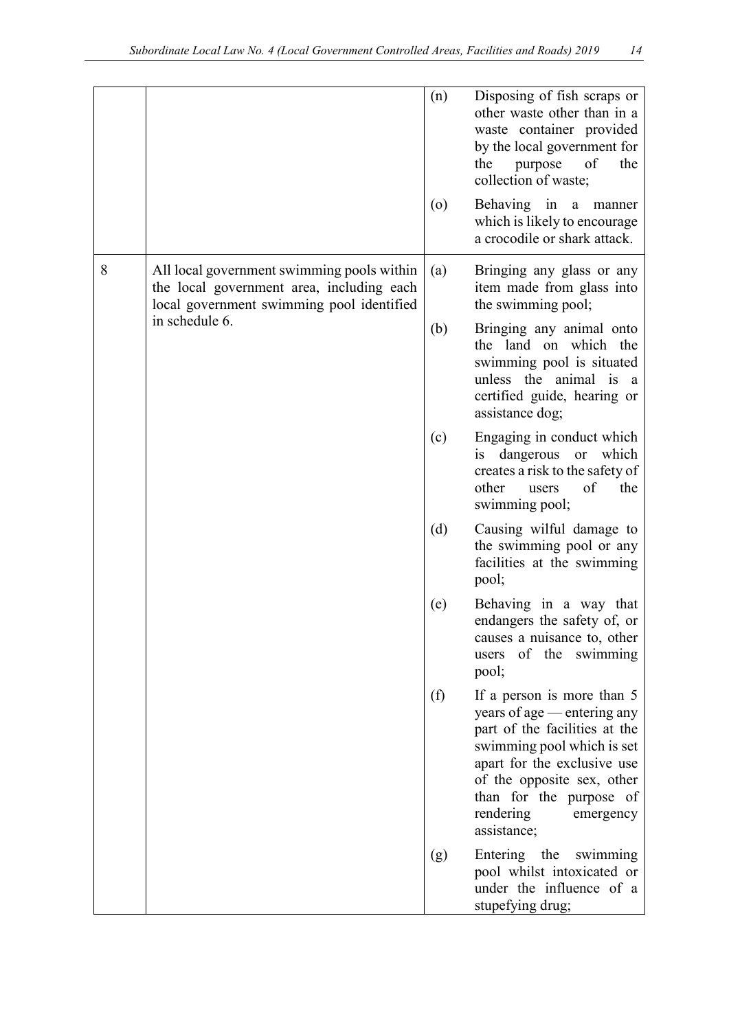|   |                                                                                                                                                        | (n)     | Disposing of fish scraps or<br>other waste other than in a<br>waste container provided<br>by the local government for<br>purpose<br>of<br>the<br>the<br>collection of waste;                                                                              |
|---|--------------------------------------------------------------------------------------------------------------------------------------------------------|---------|-----------------------------------------------------------------------------------------------------------------------------------------------------------------------------------------------------------------------------------------------------------|
|   |                                                                                                                                                        | $\circ$ | Behaving in a manner<br>which is likely to encourage<br>a crocodile or shark attack.                                                                                                                                                                      |
| 8 | All local government swimming pools within<br>the local government area, including each<br>local government swimming pool identified<br>in schedule 6. | (a)     | Bringing any glass or any<br>item made from glass into<br>the swimming pool;                                                                                                                                                                              |
|   |                                                                                                                                                        | (b)     | Bringing any animal onto<br>the land on which the<br>swimming pool is situated<br>unless the animal is a<br>certified guide, hearing or<br>assistance dog;                                                                                                |
|   |                                                                                                                                                        | (c)     | Engaging in conduct which<br>is dangerous or which<br>creates a risk to the safety of<br>other<br>of<br>the<br>users<br>swimming pool;                                                                                                                    |
|   |                                                                                                                                                        | (d)     | Causing wilful damage to<br>the swimming pool or any<br>facilities at the swimming<br>pool;                                                                                                                                                               |
|   |                                                                                                                                                        | (e)     | Behaving in a way that<br>endangers the safety of, or<br>causes a nuisance to, other<br>of the swimming<br>users<br>pool;                                                                                                                                 |
|   |                                                                                                                                                        | (f)     | If a person is more than 5<br>years of age — entering any<br>part of the facilities at the<br>swimming pool which is set<br>apart for the exclusive use<br>of the opposite sex, other<br>than for the purpose of<br>rendering<br>emergency<br>assistance; |
|   |                                                                                                                                                        | (g)     | Entering the<br>swimming<br>pool whilst intoxicated or<br>under the influence of a<br>stupefying drug;                                                                                                                                                    |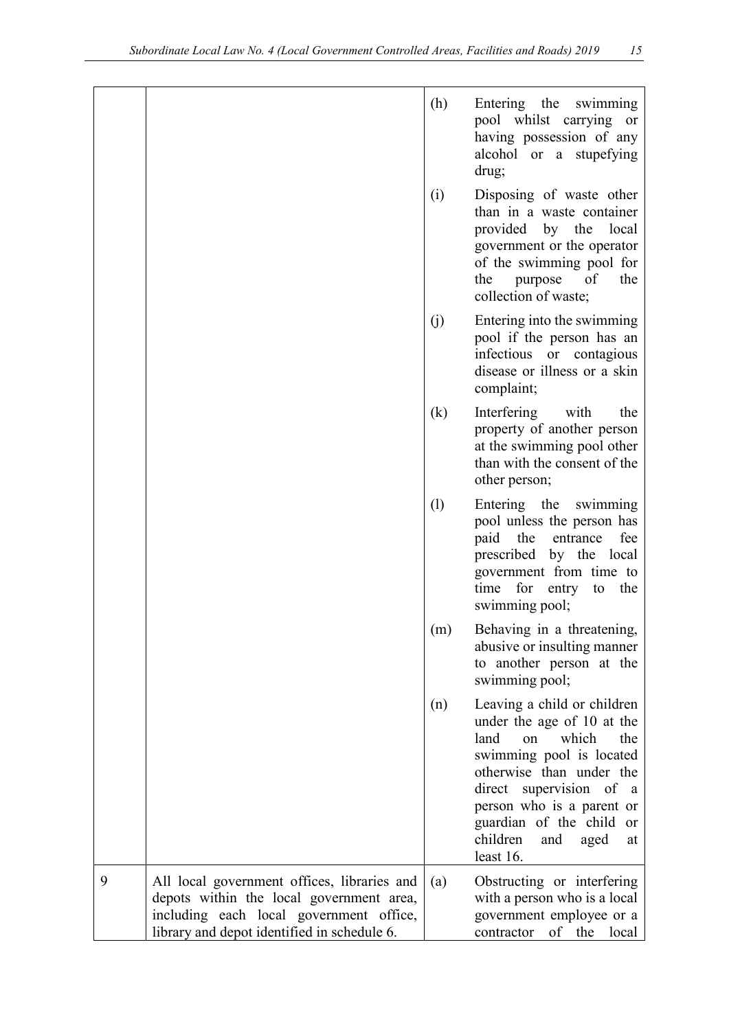|   |                                                                                                                                                                                   | (h) | Entering the swimming<br>pool whilst carrying or<br>having possession of any<br>alcohol or a stupefying<br>drug;                                                                                                                                                                  |
|---|-----------------------------------------------------------------------------------------------------------------------------------------------------------------------------------|-----|-----------------------------------------------------------------------------------------------------------------------------------------------------------------------------------------------------------------------------------------------------------------------------------|
|   |                                                                                                                                                                                   | (i) | Disposing of waste other<br>than in a waste container<br>provided by the local<br>government or the operator<br>of the swimming pool for<br>of<br>the purpose<br>the<br>collection of waste;                                                                                      |
|   |                                                                                                                                                                                   | (j) | Entering into the swimming<br>pool if the person has an<br>infectious or contagious<br>disease or illness or a skin<br>complaint;                                                                                                                                                 |
|   |                                                                                                                                                                                   | (k) | Interfering with<br>the<br>property of another person<br>at the swimming pool other<br>than with the consent of the<br>other person;                                                                                                                                              |
|   |                                                                                                                                                                                   | (1) | Entering the swimming<br>pool unless the person has<br>the<br>paid<br>entrance<br>fee<br>prescribed by the local<br>government from time to<br>time for entry to<br>the<br>swimming pool;                                                                                         |
|   |                                                                                                                                                                                   | (m) | Behaving in a threatening,<br>abusive or insulting manner<br>to another person at the<br>swimming pool;                                                                                                                                                                           |
|   |                                                                                                                                                                                   | (n) | Leaving a child or children<br>under the age of 10 at the<br>which<br>the<br>land<br>on<br>swimming pool is located<br>otherwise than under the<br>direct supervision of a<br>person who is a parent or<br>guardian of the child or<br>children<br>and<br>aged<br>at<br>least 16. |
| 9 | All local government offices, libraries and<br>depots within the local government area,<br>including each local government office,<br>library and depot identified in schedule 6. | (a) | Obstructing or interfering<br>with a person who is a local<br>government employee or a<br>contractor of the local                                                                                                                                                                 |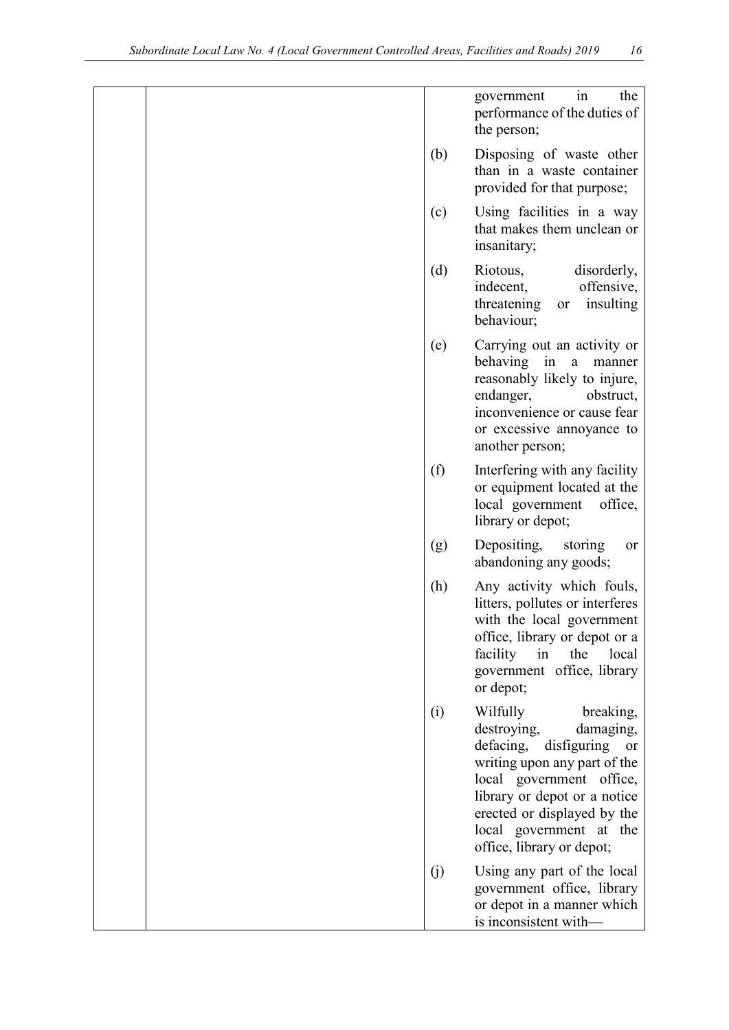|  |     | in<br>the<br>government<br>performance of the duties of<br>the person;                                                                                                                                                                                           |
|--|-----|------------------------------------------------------------------------------------------------------------------------------------------------------------------------------------------------------------------------------------------------------------------|
|  | (b) | Disposing of waste other<br>than in a waste container<br>provided for that purpose;                                                                                                                                                                              |
|  | (c) | Using facilities in a way<br>that makes them unclean or<br>insanitary;                                                                                                                                                                                           |
|  | (d) | Riotous,<br>disorderly,<br>indecent,<br>offensive,<br>threatening<br>insulting<br>or<br>behaviour;                                                                                                                                                               |
|  | (e) | Carrying out an activity or<br>behaving in a<br>manner<br>reasonably likely to injure,<br>endanger,<br>obstruct,<br>inconvenience or cause fear<br>or excessive annoyance to<br>another person;                                                                  |
|  | (f) | Interfering with any facility<br>or equipment located at the<br>local government<br>office,<br>library or depot;                                                                                                                                                 |
|  | (g) | Depositing,<br>storing<br>or<br>abandoning any goods;                                                                                                                                                                                                            |
|  | (h) | Any activity which fouls,<br>litters, pollutes or interferes<br>with the local government<br>office, library or depot or a<br>facility<br>the<br>in<br>local<br>government office, library<br>or depot;                                                          |
|  | (i) | Wilfully<br>breaking,<br>destroying,<br>damaging,<br>defacing, disfiguring or<br>writing upon any part of the<br>local government office,<br>library or depot or a notice<br>erected or displayed by the<br>local government at the<br>office, library or depot; |
|  | (j) | Using any part of the local<br>government office, library<br>or depot in a manner which<br>is inconsistent with-                                                                                                                                                 |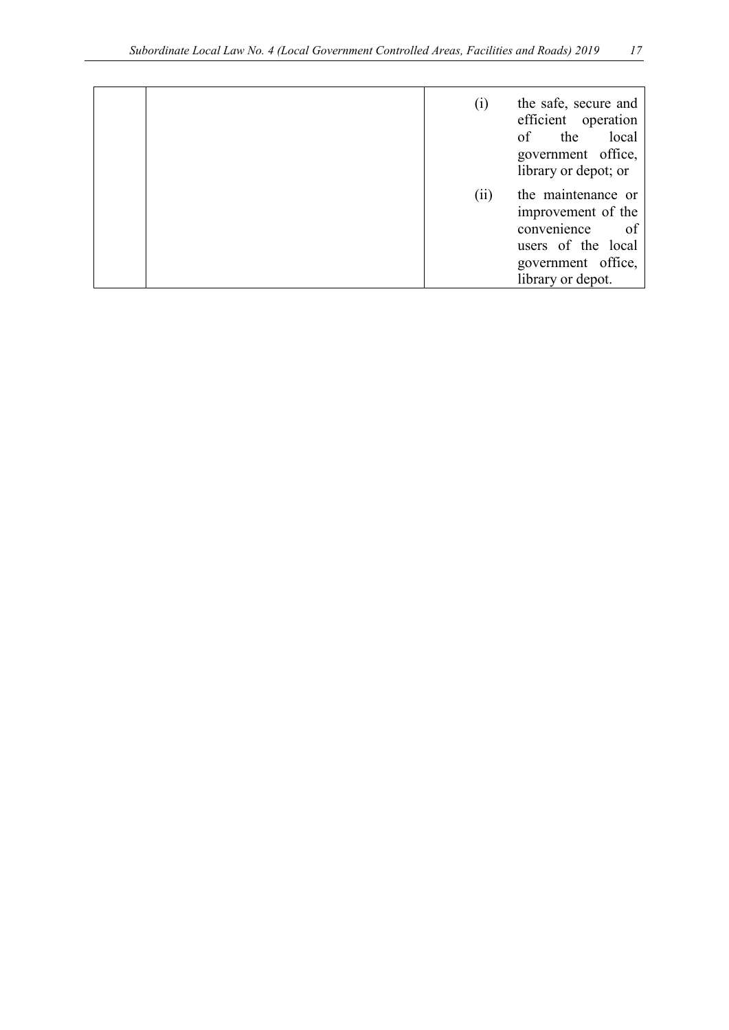|  | $\left( i\right)$ | the safe, secure and<br>efficient operation<br>local<br>the<br>of<br>government office,<br>library or depot; or                |
|--|-------------------|--------------------------------------------------------------------------------------------------------------------------------|
|  | (iii)             | the maintenance or<br>improvement of the<br>convenience<br>of<br>users of the local<br>government office,<br>library or depot. |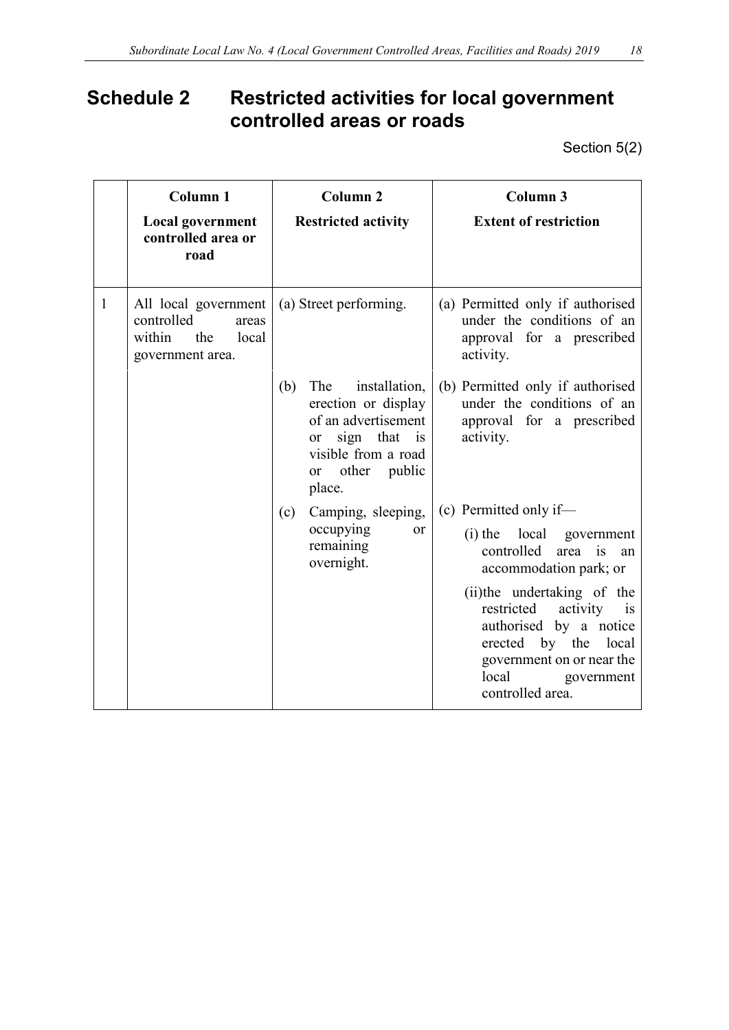# <span id="page-17-0"></span>**Schedule 2 Restricted activities for local government controlled areas or roads**

Section 5(2)

|              | Column <sub>1</sub><br><b>Local government</b><br>controlled area or<br>road              | Column <sub>2</sub><br><b>Restricted activity</b>                                                                                                              | Column 3<br><b>Extent of restriction</b>                                                                                                                                                                                                                                                          |
|--------------|-------------------------------------------------------------------------------------------|----------------------------------------------------------------------------------------------------------------------------------------------------------------|---------------------------------------------------------------------------------------------------------------------------------------------------------------------------------------------------------------------------------------------------------------------------------------------------|
| $\mathbf{1}$ | All local government<br>controlled<br>areas<br>within<br>local<br>the<br>government area. | (a) Street performing.                                                                                                                                         | (a) Permitted only if authorised<br>under the conditions of an<br>approval for a prescribed<br>activity.                                                                                                                                                                                          |
|              |                                                                                           | installation,<br>The<br>(b)<br>erection or display<br>of an advertisement<br>or sign that is<br>visible from a road<br>other public<br><sub>or</sub><br>place. | (b) Permitted only if authorised<br>under the conditions of an<br>approval for a prescribed<br>activity.                                                                                                                                                                                          |
|              |                                                                                           | Camping, sleeping,<br>(c)<br>occupying<br><b>or</b><br>remaining<br>overnight.                                                                                 | (c) Permitted only if-<br>(i) the local government<br>controlled area is<br>an<br>accommodation park; or<br>(ii) the undertaking of the<br>restricted<br>activity is<br>authorised by a notice<br>erected by the<br>local<br>government on or near the<br>local<br>government<br>controlled area. |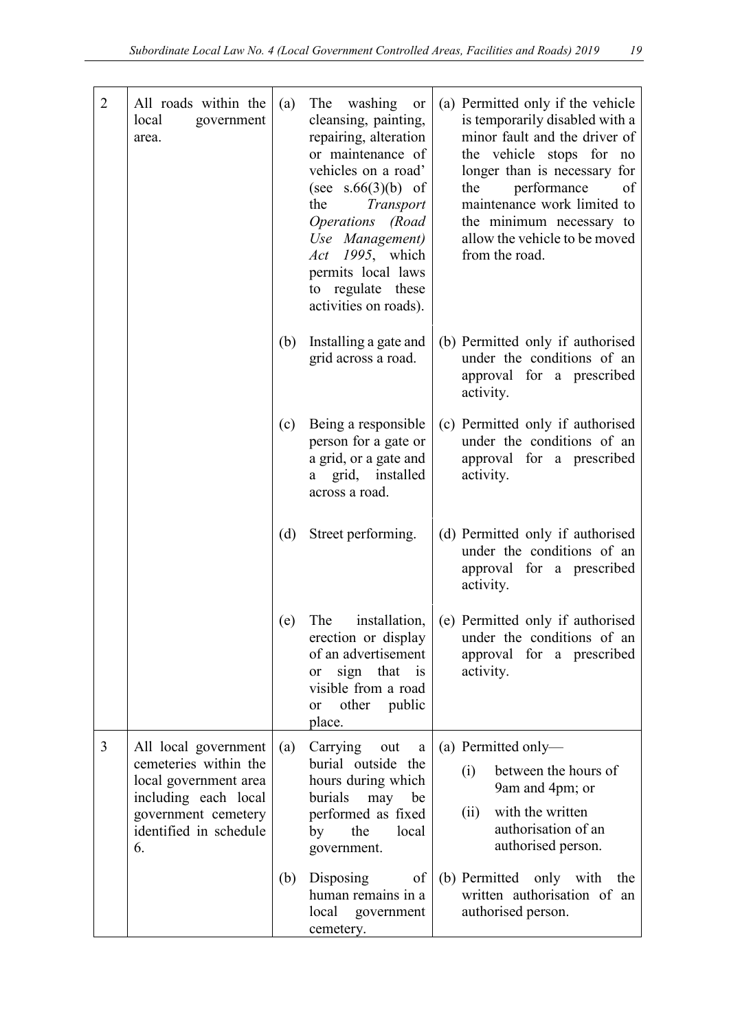| $\overline{2}$ | All roads within the<br>local<br>government<br>area.                                                                                                  | (a) | washing<br>The<br>or<br>cleansing, painting,<br>repairing, alteration<br>or maintenance of<br>vehicles on a road'<br>(see $s.66(3)(b)$ of<br>the<br>Transport<br>Operations (Road<br>Use Management)<br>Act 1995, which<br>permits local laws<br>to regulate these<br>activities on roads). | (a) Permitted only if the vehicle<br>is temporarily disabled with a<br>minor fault and the driver of<br>the vehicle stops for no<br>longer than is necessary for<br>performance<br>the<br>of<br>maintenance work limited to<br>the minimum necessary to<br>allow the vehicle to be moved<br>from the road. |
|----------------|-------------------------------------------------------------------------------------------------------------------------------------------------------|-----|---------------------------------------------------------------------------------------------------------------------------------------------------------------------------------------------------------------------------------------------------------------------------------------------|------------------------------------------------------------------------------------------------------------------------------------------------------------------------------------------------------------------------------------------------------------------------------------------------------------|
|                |                                                                                                                                                       | (b) | Installing a gate and<br>grid across a road.                                                                                                                                                                                                                                                | (b) Permitted only if authorised<br>under the conditions of an<br>approval for a prescribed<br>activity.                                                                                                                                                                                                   |
|                |                                                                                                                                                       | (c) | Being a responsible<br>person for a gate or<br>a grid, or a gate and<br>a grid, installed<br>across a road.                                                                                                                                                                                 | (c) Permitted only if authorised<br>under the conditions of an<br>approval for a prescribed<br>activity.                                                                                                                                                                                                   |
|                |                                                                                                                                                       | (d) | Street performing.                                                                                                                                                                                                                                                                          | (d) Permitted only if authorised<br>under the conditions of an<br>approval for a prescribed<br>activity.                                                                                                                                                                                                   |
|                |                                                                                                                                                       | (e) | The<br>installation,<br>erection or display<br>of an advertisement<br>sign that is<br><sub>or</sub><br>visible from a road<br>other public<br>or<br>place.                                                                                                                                  | (e) Permitted only if authorised<br>under the conditions of an<br>approval for a prescribed<br>activity.                                                                                                                                                                                                   |
| $\overline{3}$ | All local government<br>cemeteries within the<br>local government area<br>including each local<br>government cemetery<br>identified in schedule<br>6. | (a) | Carrying<br>out<br>a<br>burial outside the<br>hours during which<br>burials<br>may<br>be<br>performed as fixed<br>the<br>local<br>by<br>government.                                                                                                                                         | (a) Permitted only-<br>between the hours of<br>(i)<br>9am and 4pm; or<br>with the written<br>(ii)<br>authorisation of an<br>authorised person.                                                                                                                                                             |
|                |                                                                                                                                                       | (b) | Disposing<br>of<br>human remains in a<br>local government<br>cemetery.                                                                                                                                                                                                                      | (b) Permitted only with<br>the<br>written authorisation of an<br>authorised person.                                                                                                                                                                                                                        |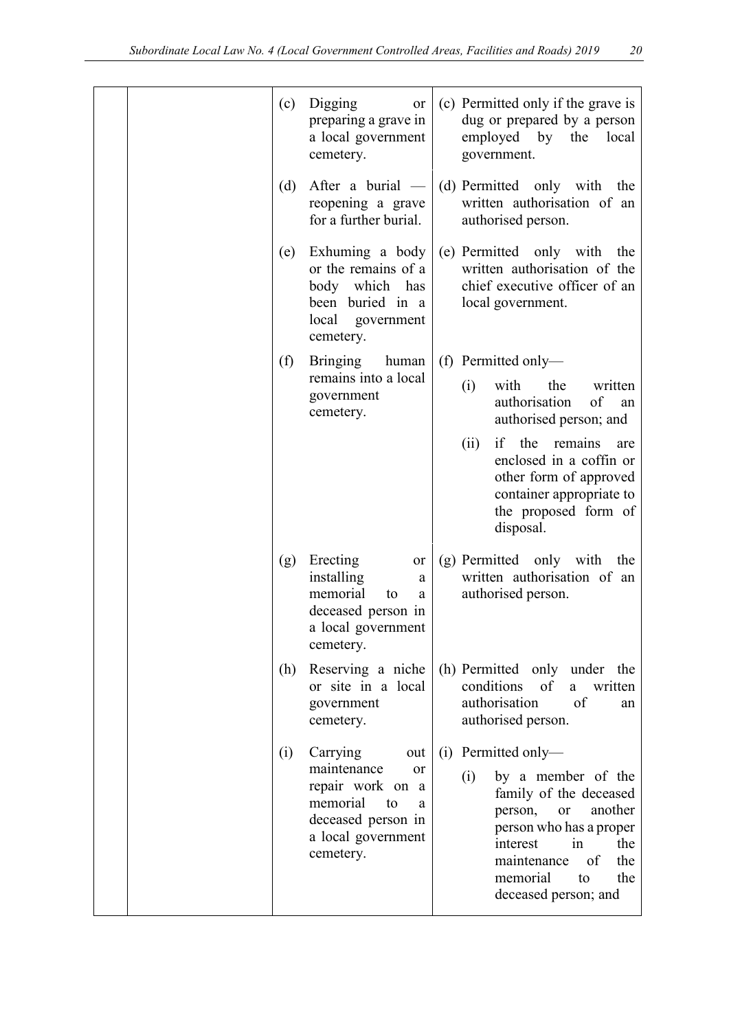|  | (c) | Digging<br>or<br>preparing a grave in<br>a local government<br>cemetery.                                                                        |     | (c) Permitted only if the grave is<br>dug or prepared by a person<br>employed by the<br>local<br>government.                                                                                                                               |
|--|-----|-------------------------------------------------------------------------------------------------------------------------------------------------|-----|--------------------------------------------------------------------------------------------------------------------------------------------------------------------------------------------------------------------------------------------|
|  | (d) | After a burial $-$<br>reopening a grave<br>for a further burial.                                                                                |     | (d) Permitted only with<br>the<br>written authorisation of an<br>authorised person.                                                                                                                                                        |
|  | (e) | Exhuming a body<br>or the remains of a<br>body which has<br>been buried in a<br>local<br>government<br>cemetery.                                |     | (e) Permitted only with<br>the<br>written authorisation of the<br>chief executive officer of an<br>local government.                                                                                                                       |
|  | (f) | <b>Bringing</b><br>human                                                                                                                        |     | (f) Permitted only—                                                                                                                                                                                                                        |
|  |     | remains into a local<br>government<br>cemetery.                                                                                                 |     | with<br>the<br>written<br>(i)<br>authorisation<br>of<br>an<br>authorised person; and                                                                                                                                                       |
|  |     |                                                                                                                                                 |     | if the<br>remains<br>(ii)<br>are<br>enclosed in a coffin or<br>other form of approved<br>container appropriate to<br>the proposed form of<br>disposal.                                                                                     |
|  | (g) | Erecting<br>or<br>installing<br>a<br>memorial<br>to<br>a<br>deceased person in<br>a local government<br>cemetery.                               |     | (g) Permitted only with the<br>written authorisation of an<br>authorised person.                                                                                                                                                           |
|  | (h) | Reserving a niche<br>or site in a local<br>government<br>cemetery.                                                                              |     | (h) Permitted only under the<br>conditions<br>of<br>a<br>written<br>authorisation<br>of<br>an<br>authorised person.                                                                                                                        |
|  | (i) | Carrying<br>out<br>maintenance<br><b>or</b><br>repair work on a<br>memorial<br>to<br>a<br>deceased person in<br>a local government<br>cemetery. | (i) | Permitted only-<br>by a member of the<br>(i)<br>family of the deceased<br>another<br>person,<br><b>or</b><br>person who has a proper<br>interest<br>in<br>the<br>of<br>the<br>maintenance<br>memorial<br>the<br>to<br>deceased person; and |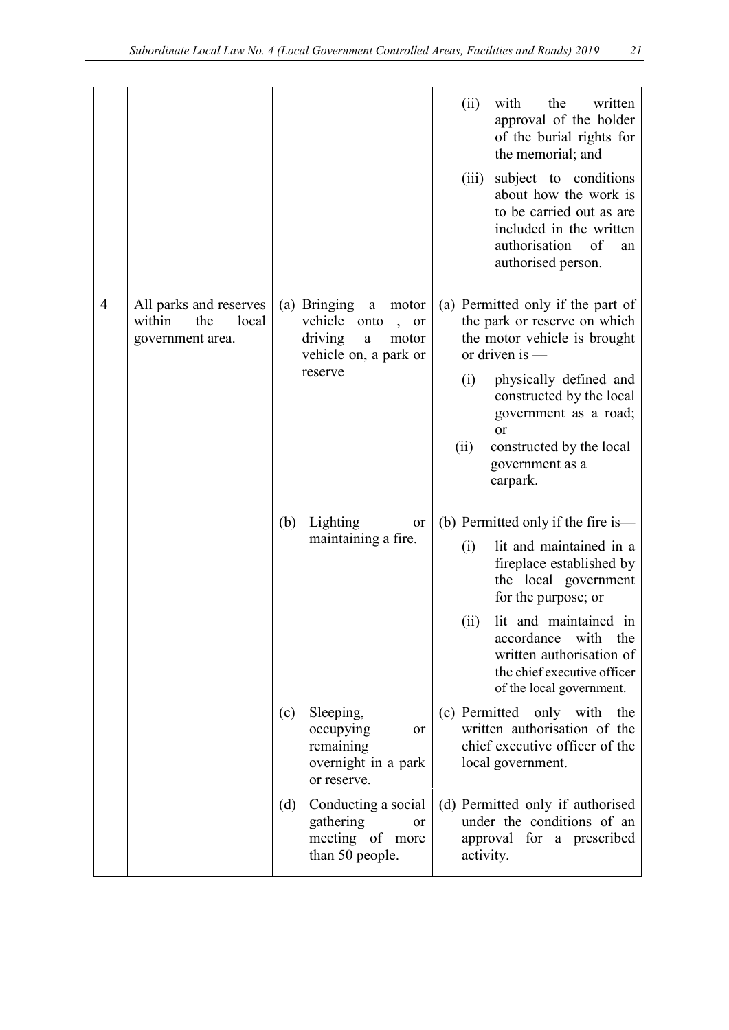|                |                                                                      |     |                                                                                                                                | with<br>the<br>written<br>(ii)<br>approval of the holder<br>of the burial rights for<br>the memorial; and<br>subject to conditions<br>(iii)<br>about how the work is<br>to be carried out as are<br>included in the written<br>authorisation<br>of<br>an<br>authorised person.                       |
|----------------|----------------------------------------------------------------------|-----|--------------------------------------------------------------------------------------------------------------------------------|------------------------------------------------------------------------------------------------------------------------------------------------------------------------------------------------------------------------------------------------------------------------------------------------------|
| $\overline{4}$ | All parks and reserves<br>within<br>the<br>local<br>government area. |     | (a) Bringing<br>motor<br>$\rm{a}$<br>vehicle<br>onto<br>or<br>driving<br>motor<br>$\rm{a}$<br>vehicle on, a park or<br>reserve | (a) Permitted only if the part of<br>the park or reserve on which<br>the motor vehicle is brought<br>or driven is $-$<br>physically defined and<br>(i)<br>constructed by the local<br>government as a road;<br>or<br>constructed by the local<br>(ii)<br>government as a<br>carpark.                 |
|                |                                                                      | (b) | Lighting<br>or<br>maintaining a fire.                                                                                          | (b) Permitted only if the fire is—<br>lit and maintained in a<br>(i)<br>fireplace established by<br>the local government<br>for the purpose; or<br>lit and maintained in<br>(ii)<br>accordance<br>with<br>the<br>written authorisation of<br>the chief executive officer<br>of the local government. |
|                |                                                                      | (c) | Sleeping,<br>occupying<br>or<br>remaining<br>overnight in a park<br>or reserve.                                                | (c) Permitted only with<br>the<br>written authorisation of the<br>chief executive officer of the<br>local government.                                                                                                                                                                                |
|                |                                                                      | (d) | Conducting a social<br>gathering<br><sub>or</sub><br>meeting of more<br>than 50 people.                                        | (d) Permitted only if authorised<br>under the conditions of an<br>approval for a prescribed<br>activity.                                                                                                                                                                                             |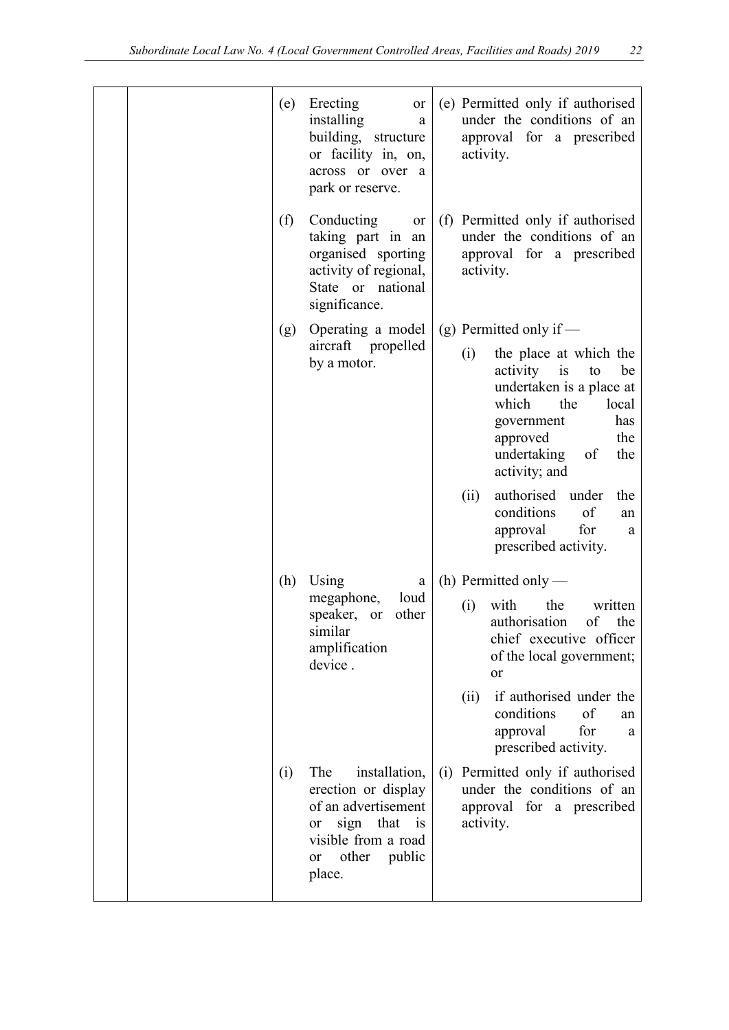|  |     | (e) Erecting<br>or<br>installing<br>a<br>building, structure<br>or facility in, on,<br>across or over a<br>park or reserve.                                |     | (e) Permitted only if authorised<br>under the conditions of an<br>approval for a prescribed<br>activity.                                                                                                                                                                                  |
|--|-----|------------------------------------------------------------------------------------------------------------------------------------------------------------|-----|-------------------------------------------------------------------------------------------------------------------------------------------------------------------------------------------------------------------------------------------------------------------------------------------|
|  | (f) | Conducting<br>or<br>taking part in an<br>organised sporting<br>activity of regional,<br>State or national<br>significance.                                 |     | (f) Permitted only if authorised<br>under the conditions of an<br>approval for a prescribed<br>activity.                                                                                                                                                                                  |
|  | (g) | Operating a model<br>aircraft propelled<br>by a motor.                                                                                                     |     | (g) Permitted only if $-$<br>the place at which the<br>(i)<br>be<br>activity is<br>to<br>undertaken is a place at<br>which<br>the<br>local<br>has<br>government<br>the<br>approved<br>undertaking<br>of<br>the<br>activity; and<br>authorised<br>(ii)<br>under<br>the<br>conditions<br>of |
|  | (h) | Using<br>a                                                                                                                                                 |     | an<br>approval<br>for<br>a<br>prescribed activity.<br>(h) Permitted only —                                                                                                                                                                                                                |
|  |     | megaphone,<br>loud<br>speaker, or<br>other<br>similar<br>amplification<br>device.                                                                          |     | with<br>the<br>written<br>(i)<br>authorisation<br>of<br>the<br>chief executive officer<br>of the local government;<br>or                                                                                                                                                                  |
|  |     |                                                                                                                                                            |     | if authorised under the<br>(ii)<br>conditions<br>of<br>an<br>approval<br>for<br>a<br>prescribed activity.                                                                                                                                                                                 |
|  | (i) | The<br>installation,<br>erection or display<br>of an advertisement<br>sign that is<br><sub>or</sub><br>visible from a road<br>other public<br>or<br>place. | (i) | Permitted only if authorised<br>under the conditions of an<br>approval for a prescribed<br>activity.                                                                                                                                                                                      |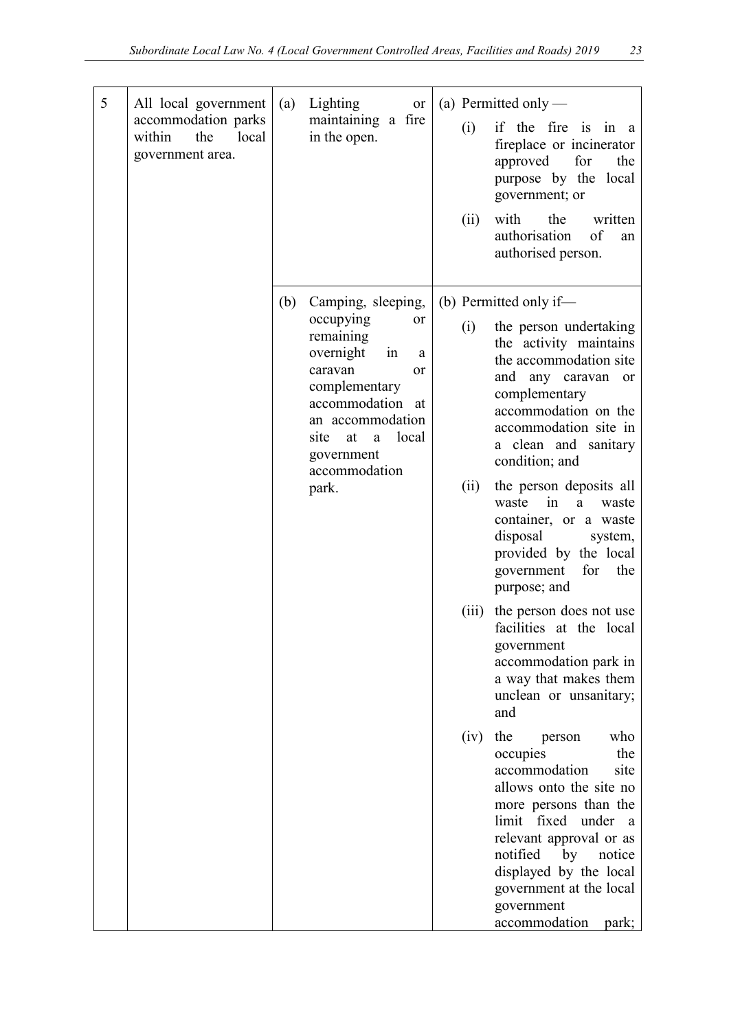| 5 | All local government<br>accommodation parks<br>within<br>local<br>the<br>government area. | (a) | Lighting<br>or<br>maintaining a fire<br>in the open.                                                                                                                                                                                | (i)<br>(ii)          | (a) Permitted only -<br>if the fire is in a<br>fireplace or incinerator<br>for<br>approved<br>the<br>purpose by the<br>local<br>government; or<br>with<br>the<br>written                                                                                                                                                                                                                                                                                                                                                                                                                 |
|---|-------------------------------------------------------------------------------------------|-----|-------------------------------------------------------------------------------------------------------------------------------------------------------------------------------------------------------------------------------------|----------------------|------------------------------------------------------------------------------------------------------------------------------------------------------------------------------------------------------------------------------------------------------------------------------------------------------------------------------------------------------------------------------------------------------------------------------------------------------------------------------------------------------------------------------------------------------------------------------------------|
|   |                                                                                           |     |                                                                                                                                                                                                                                     |                      | authorisation<br>of<br>an<br>authorised person.                                                                                                                                                                                                                                                                                                                                                                                                                                                                                                                                          |
|   |                                                                                           | (b) | Camping, sleeping,<br>occupying<br>or<br>remaining<br>overnight<br>in<br>a<br>caravan<br><sub>or</sub><br>complementary<br>accommodation at<br>an accommodation<br>local<br>site<br>at<br>a<br>government<br>accommodation<br>park. | (i)<br>(ii)<br>(iii) | (b) Permitted only if—<br>the person undertaking<br>the activity maintains<br>the accommodation site<br>and any caravan<br><sub>or</sub><br>complementary<br>accommodation on the<br>accommodation site in<br>a clean and sanitary<br>condition; and<br>the person deposits all<br>in<br>waste<br>a<br>waste<br>container, or a waste<br>disposal<br>system,<br>provided by the local<br>government<br>for<br>the<br>purpose; and<br>the person does not use<br>facilities at the local<br>government<br>accommodation park in<br>a way that makes them<br>unclean or unsanitary;<br>and |
|   |                                                                                           |     |                                                                                                                                                                                                                                     | (iv)                 | the<br>who<br>person<br>the<br>occupies<br>accommodation<br>site<br>allows onto the site no<br>more persons than the<br>limit fixed under a<br>relevant approval or as<br>notified<br>by<br>notice<br>displayed by the local<br>government at the local<br>government<br>accommodation<br>park;                                                                                                                                                                                                                                                                                          |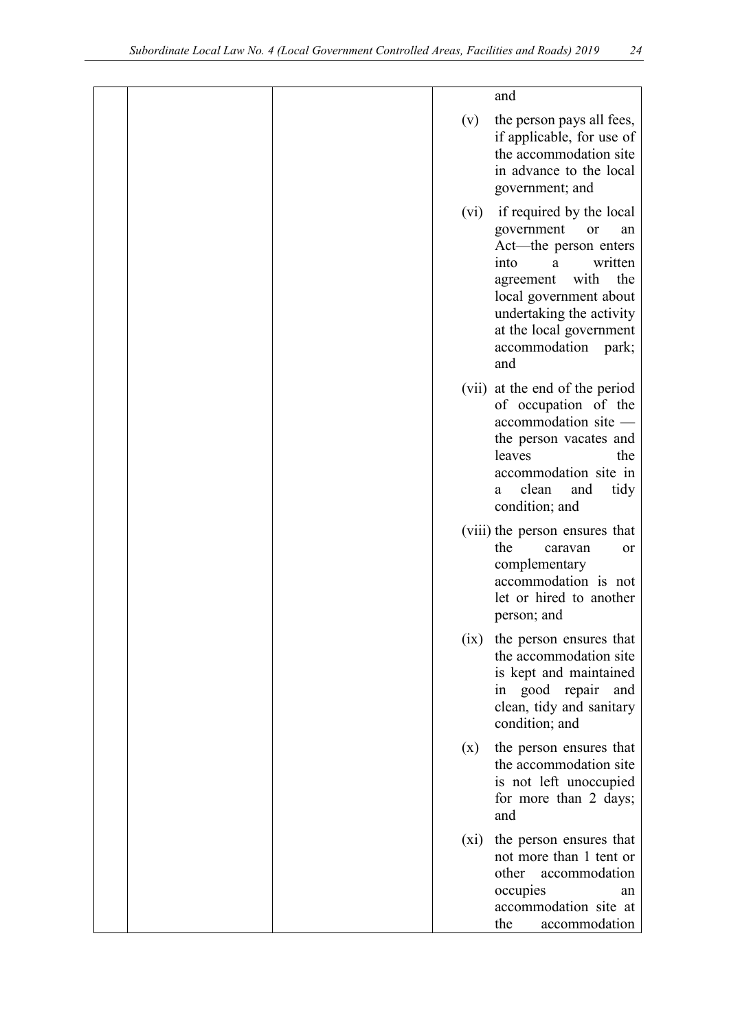|  |         | and                                                                                                                                                                                                                                               |
|--|---------|---------------------------------------------------------------------------------------------------------------------------------------------------------------------------------------------------------------------------------------------------|
|  | (v)     | the person pays all fees,<br>if applicable, for use of<br>the accommodation site<br>in advance to the local<br>government; and                                                                                                                    |
|  | (vi)    | if required by the local<br>government<br>or<br>an<br>Act-the person enters<br>written<br>into<br>a<br>with<br>the<br>agreement<br>local government about<br>undertaking the activity<br>at the local government<br>accommodation<br>park;<br>and |
|  |         | (vii) at the end of the period<br>of occupation of the<br>accommodation site -<br>the person vacates and<br>leaves<br>the<br>accommodation site in<br>clean<br>and<br>tidy<br>a<br>condition; and                                                 |
|  |         | (viii) the person ensures that<br>the<br>caravan<br><b>or</b><br>complementary<br>accommodation is not<br>let or hired to another<br>person; and                                                                                                  |
|  | (ix)    | the person ensures that<br>the accommodation site<br>is kept and maintained<br>in good repair<br>and<br>clean, tidy and sanitary<br>condition; and                                                                                                |
|  | (x)     | the person ensures that<br>the accommodation site<br>is not left unoccupied<br>for more than 2 days;<br>and                                                                                                                                       |
|  | $(x_i)$ | the person ensures that<br>not more than 1 tent or<br>other<br>accommodation<br>occupies<br>an<br>accommodation site at<br>the<br>accommodation                                                                                                   |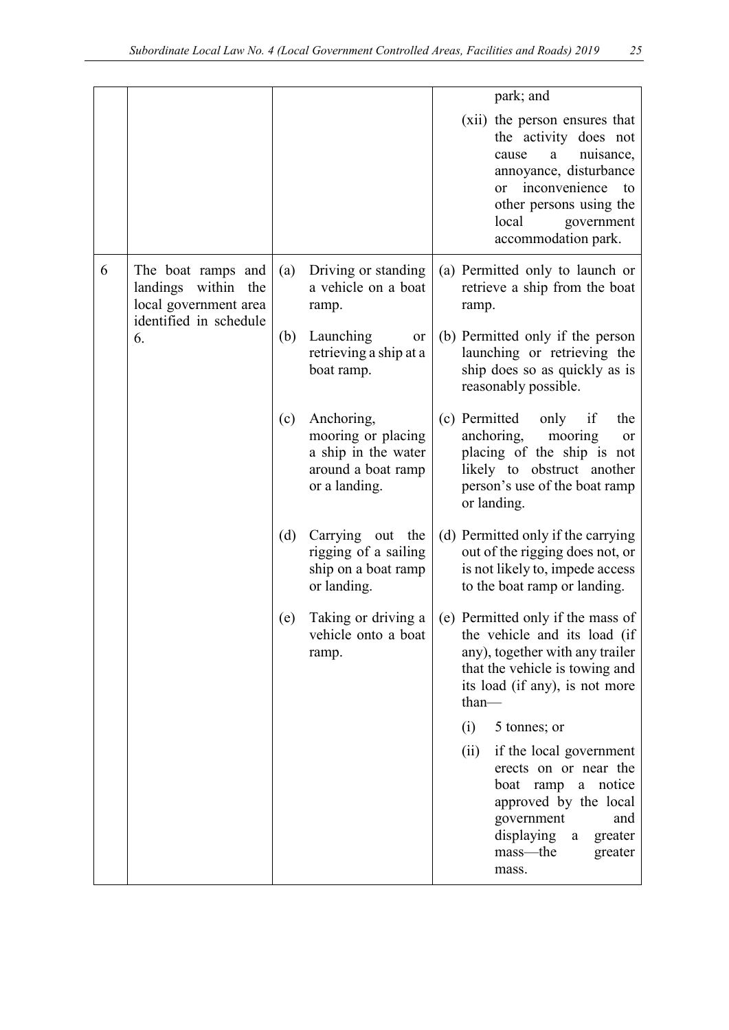|   |                                                                                              |     |                                                                                                | park; and                                                                                                                                                                                                         |
|---|----------------------------------------------------------------------------------------------|-----|------------------------------------------------------------------------------------------------|-------------------------------------------------------------------------------------------------------------------------------------------------------------------------------------------------------------------|
|   |                                                                                              |     |                                                                                                | (xii) the person ensures that<br>the activity does not<br>nuisance,<br>a<br>cause<br>annoyance, disturbance<br>inconvenience<br>to<br>or<br>other persons using the<br>local<br>government<br>accommodation park. |
| 6 | The boat ramps and<br>landings within the<br>local government area<br>identified in schedule | (a) | Driving or standing<br>a vehicle on a boat<br>ramp.                                            | (a) Permitted only to launch or<br>retrieve a ship from the boat<br>ramp.                                                                                                                                         |
|   | 6.                                                                                           | (b) | Launching<br>or<br>retrieving a ship at a<br>boat ramp.                                        | (b) Permitted only if the person<br>launching or retrieving the<br>ship does so as quickly as is<br>reasonably possible.                                                                                          |
|   |                                                                                              | (c) | Anchoring,<br>mooring or placing<br>a ship in the water<br>around a boat ramp<br>or a landing. | (c) Permitted<br>only<br>if<br>the<br>anchoring,<br>mooring<br>or<br>placing of the ship is not<br>likely to obstruct another<br>person's use of the boat ramp<br>or landing.                                     |
|   |                                                                                              | (d) | Carrying out the<br>rigging of a sailing<br>ship on a boat ramp<br>or landing.                 | (d) Permitted only if the carrying<br>out of the rigging does not, or<br>is not likely to, impede access<br>to the boat ramp or landing.                                                                          |
|   |                                                                                              | (e) | Taking or driving a<br>vehicle onto a boat<br>ramp.                                            | (e) Permitted only if the mass of<br>the vehicle and its load (if<br>any), together with any trailer<br>that the vehicle is towing and<br>its load (if any), is not more<br>$than-$                               |
|   |                                                                                              |     |                                                                                                | (i)<br>5 tonnes; or                                                                                                                                                                                               |
|   |                                                                                              |     |                                                                                                | (ii)<br>if the local government<br>erects on or near the<br>boat ramp a notice<br>approved by the local<br>government<br>and<br>displaying<br>greater<br>$\rm{a}$<br>mass—the<br>greater<br>mass.                 |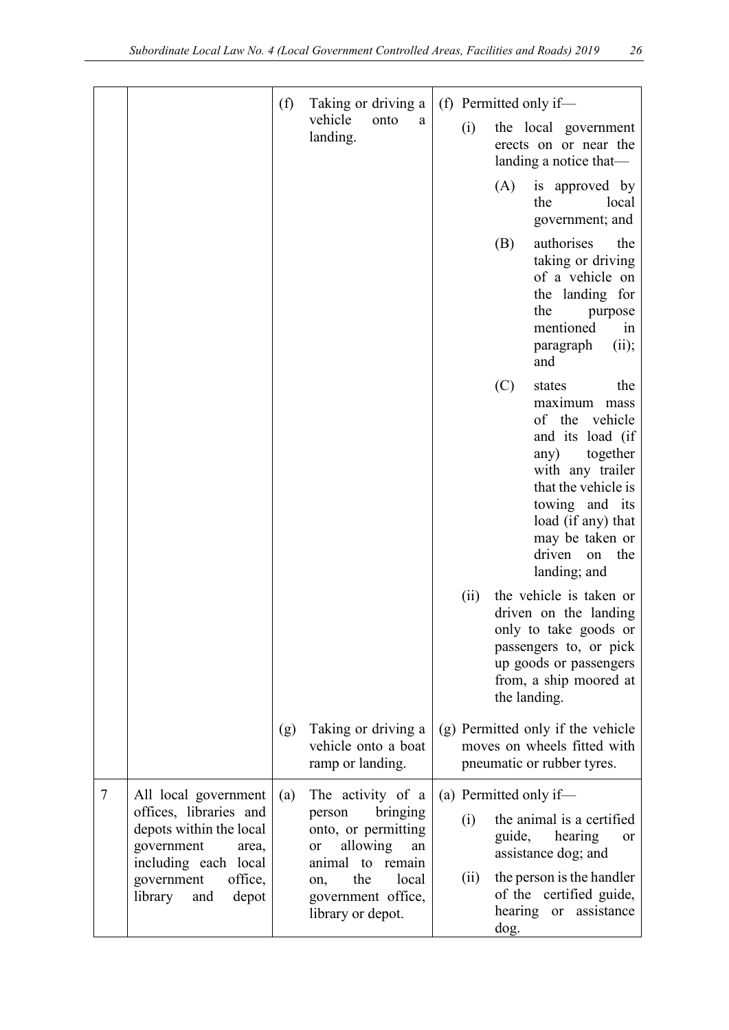|        |                                                                                                                          | (f) | Taking or driving a                                                                                        | (f) Permitted only if—                                                                                                                                                                                                                      |
|--------|--------------------------------------------------------------------------------------------------------------------------|-----|------------------------------------------------------------------------------------------------------------|---------------------------------------------------------------------------------------------------------------------------------------------------------------------------------------------------------------------------------------------|
|        |                                                                                                                          |     | vehicle<br>onto<br>a<br>landing.                                                                           | (i)<br>the local government<br>erects on or near the<br>landing a notice that-                                                                                                                                                              |
|        |                                                                                                                          |     |                                                                                                            | (A)<br>is approved by<br>the<br>local<br>government; and                                                                                                                                                                                    |
|        |                                                                                                                          |     |                                                                                                            | authorises<br>(B)<br>the<br>taking or driving<br>of a vehicle on<br>the landing for<br>the<br>purpose<br>mentioned<br>1n<br>paragraph<br>(ii);<br>and                                                                                       |
|        |                                                                                                                          |     |                                                                                                            | (C)<br>states<br>the<br>maximum mass<br>of the vehicle<br>and its load (if<br>together<br>any)<br>with any trailer<br>that the vehicle is<br>towing and its<br>load (if any) that<br>may be taken or<br>driven<br>the<br>on<br>landing; and |
|        |                                                                                                                          |     |                                                                                                            | the vehicle is taken or<br>(ii)<br>driven on the landing<br>only to take goods or<br>passengers to, or pick<br>up goods or passengers<br>from, a ship moored at<br>the landing.                                                             |
|        |                                                                                                                          | (g) | Taking or driving a<br>vehicle onto a boat<br>ramp or landing.                                             | (g) Permitted only if the vehicle<br>moves on wheels fitted with<br>pneumatic or rubber tyres.                                                                                                                                              |
| $\tau$ | All local government<br>offices, libraries and<br>depots within the local<br>government<br>area,<br>including each local | (a) | The activity of a<br>bringing<br>person<br>onto, or permitting<br>allowing<br>or<br>an<br>animal to remain | (a) Permitted only if—<br>the animal is a certified<br>(i)<br>guide, hearing<br><b>or</b><br>assistance dog; and                                                                                                                            |
|        | government<br>office,<br>library<br>and<br>depot                                                                         |     | the<br>local<br>on,<br>government office,<br>library or depot.                                             | the person is the handler<br>(ii)<br>of the certified guide,<br>hearing or assistance<br>dog.                                                                                                                                               |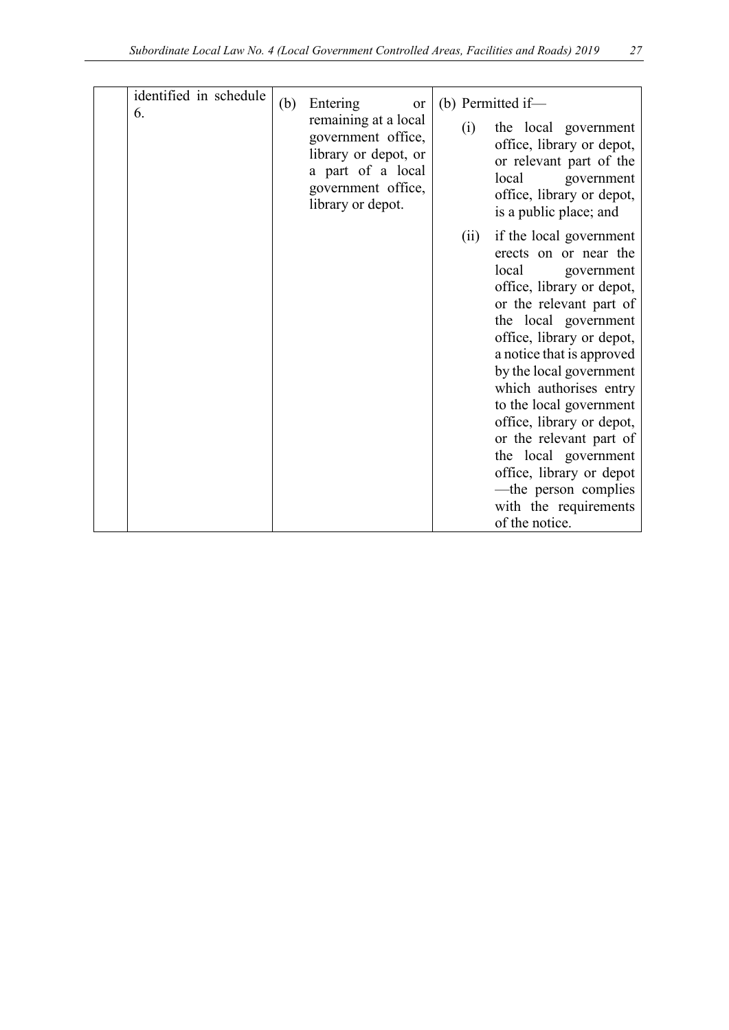| identified in schedule<br>6. | (b) | Entering<br>or<br>remaining at a local<br>government office,<br>library or depot, or<br>a part of a local<br>government office,<br>library or depot. | (i)  | (b) Permitted if-<br>the local government<br>office, library or depot,<br>or relevant part of the<br>local<br>government<br>office, library or depot,<br>is a public place; and                                                                                                                                                                                                                                                                                                  |
|------------------------------|-----|------------------------------------------------------------------------------------------------------------------------------------------------------|------|----------------------------------------------------------------------------------------------------------------------------------------------------------------------------------------------------------------------------------------------------------------------------------------------------------------------------------------------------------------------------------------------------------------------------------------------------------------------------------|
|                              |     |                                                                                                                                                      | (ii) | if the local government<br>erects on or near the<br>local<br>government<br>office, library or depot,<br>or the relevant part of<br>the local government<br>office, library or depot,<br>a notice that is approved<br>by the local government<br>which authorises entry<br>to the local government<br>office, library or depot,<br>or the relevant part of<br>the local government<br>office, library or depot<br>-the person complies<br>with the requirements<br>of the notice. |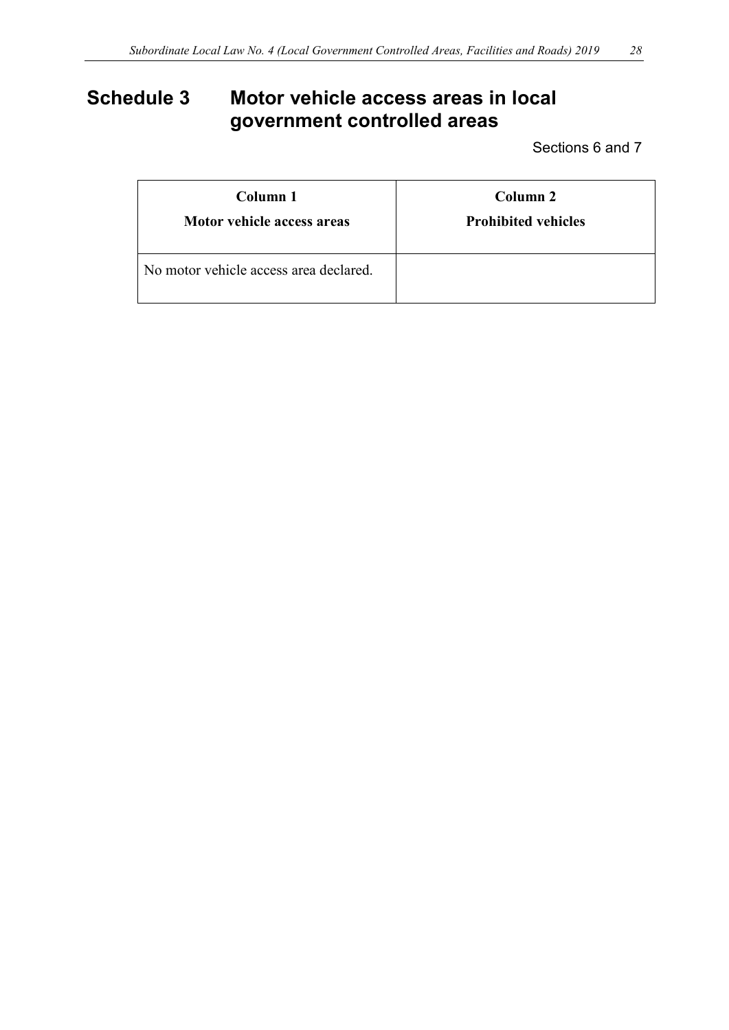# <span id="page-27-0"></span>**Schedule 3 Motor vehicle access areas in local government controlled areas**

Sections 6 and 7

| Column 1                               | Column <sub>2</sub>        |
|----------------------------------------|----------------------------|
| Motor vehicle access areas             | <b>Prohibited vehicles</b> |
| No motor vehicle access area declared. |                            |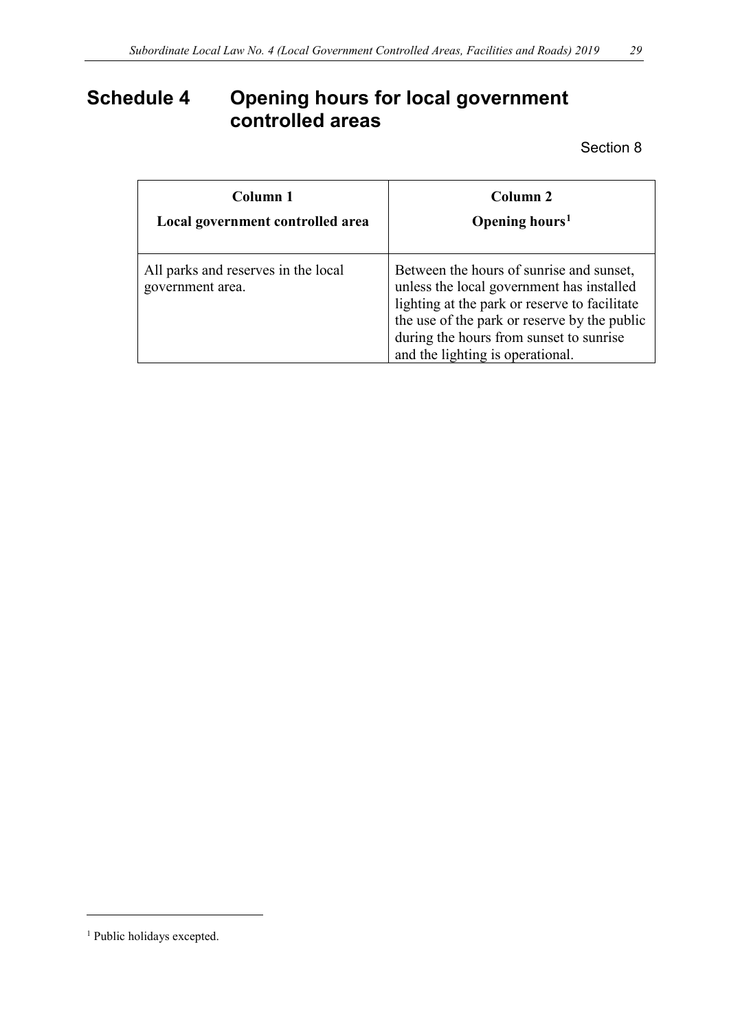# <span id="page-28-0"></span>**Schedule 4 Opening hours for local government controlled areas**

Section 8

| Column 1                                                | Column 2                                                                                                                                                                                                                                                              |  |  |
|---------------------------------------------------------|-----------------------------------------------------------------------------------------------------------------------------------------------------------------------------------------------------------------------------------------------------------------------|--|--|
| Local government controlled area                        | Opening hours <sup>1</sup>                                                                                                                                                                                                                                            |  |  |
| All parks and reserves in the local<br>government area. | Between the hours of sunrise and sunset,<br>unless the local government has installed<br>lighting at the park or reserve to facilitate<br>the use of the park or reserve by the public<br>during the hours from sunset to sunrise<br>and the lighting is operational. |  |  |

<u>.</u>

<span id="page-28-1"></span><sup>&</sup>lt;sup>1</sup> Public holidays excepted.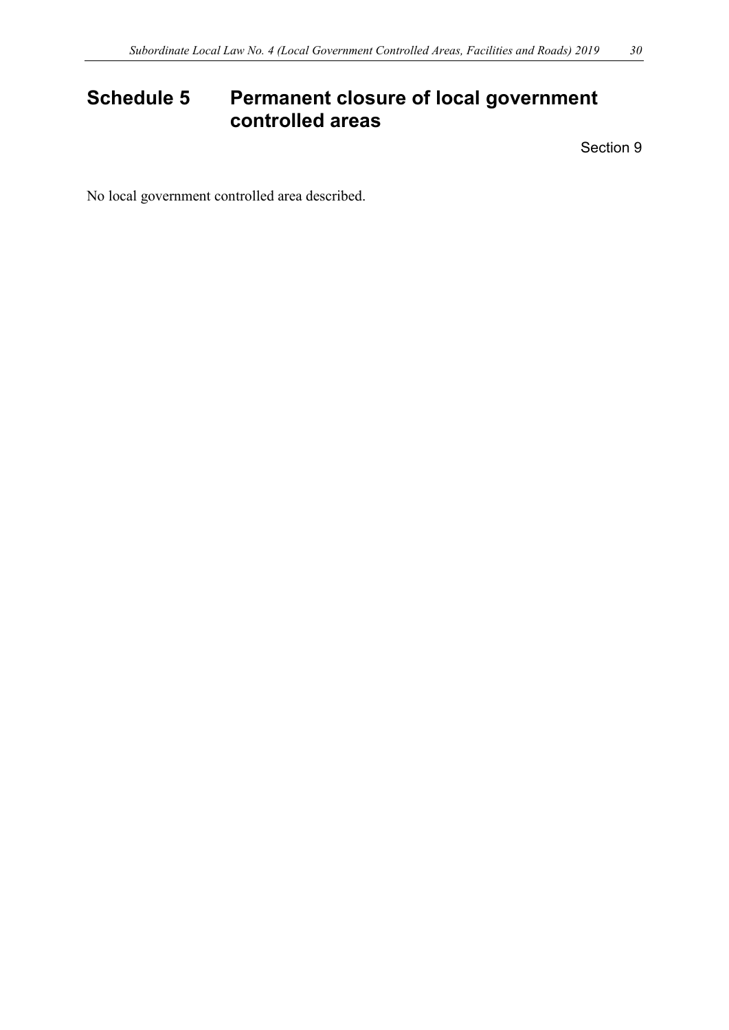# <span id="page-29-0"></span>**Schedule 5 Permanent closure of local government controlled areas**

Section 9

No local government controlled area described.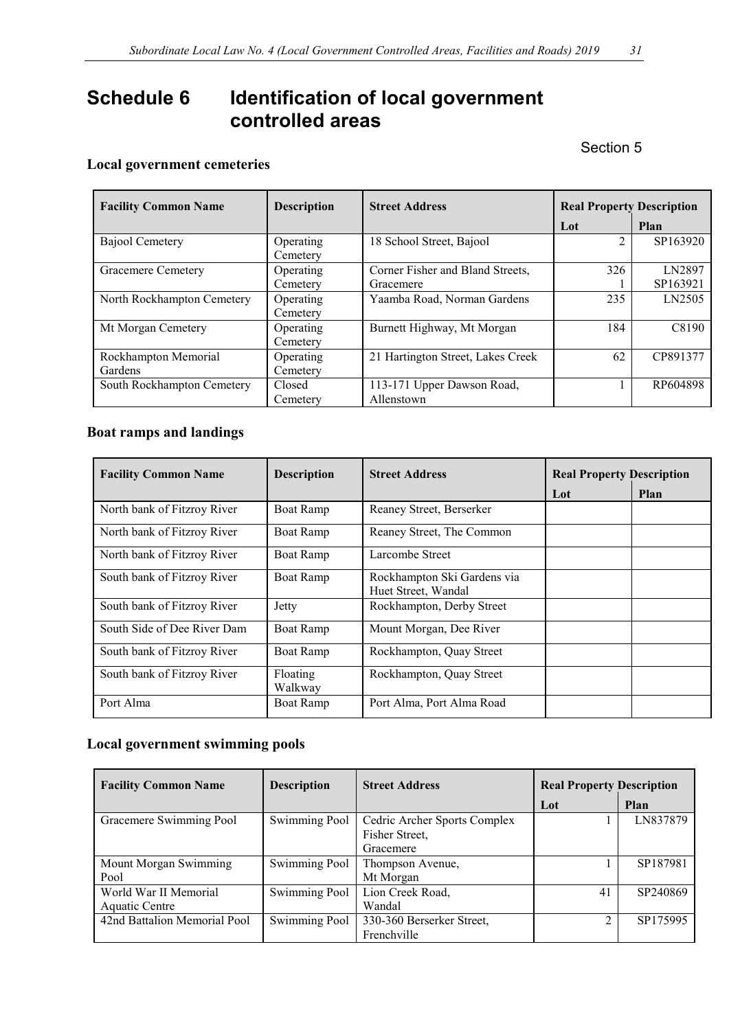# <span id="page-30-0"></span>**Schedule 6 Identification of local government controlled areas**

Section 5

### **Local government cemeteries**

| <b>Facility Common Name</b> | <b>Description</b> | <b>Street Address</b>             | <b>Real Property Description</b> |          |
|-----------------------------|--------------------|-----------------------------------|----------------------------------|----------|
|                             |                    |                                   | Lot                              | Plan     |
| Bajool Cemetery             | Operating          | 18 School Street, Bajool          | $\overline{2}$                   | SP163920 |
|                             | Cemetery           |                                   |                                  |          |
| Gracemere Cemetery          | Operating          | Corner Fisher and Bland Streets,  | 326                              | LN2897   |
|                             | Cemetery           | Gracemere                         |                                  | SP163921 |
| North Rockhampton Cemetery  | Operating          | Yaamba Road, Norman Gardens       | 235                              | LN2505   |
|                             | Cemetery           |                                   |                                  |          |
| Mt Morgan Cemetery          | Operating          | Burnett Highway, Mt Morgan        | 184                              | C8190    |
|                             | Cemetery           |                                   |                                  |          |
| Rockhampton Memorial        | Operating          | 21 Hartington Street, Lakes Creek | 62                               | CP891377 |
| Gardens                     | Cemetery           |                                   |                                  |          |
| South Rockhampton Cemetery  | Closed             | 113-171 Upper Dawson Road,        |                                  | RP604898 |
|                             | Cemetery           | Allenstown                        |                                  |          |

### **Boat ramps and landings**

| <b>Facility Common Name</b> | <b>Description</b>  | <b>Street Address</b>                              | <b>Real Property Description</b> |      |
|-----------------------------|---------------------|----------------------------------------------------|----------------------------------|------|
|                             |                     |                                                    | Lot                              | Plan |
| North bank of Fitzroy River | <b>Boat Ramp</b>    | Reaney Street, Berserker                           |                                  |      |
| North bank of Fitzroy River | Boat Ramp           | Reaney Street, The Common                          |                                  |      |
| North bank of Fitzroy River | <b>Boat Ramp</b>    | Larcombe Street                                    |                                  |      |
| South bank of Fitzroy River | <b>Boat Ramp</b>    | Rockhampton Ski Gardens via<br>Huet Street, Wandal |                                  |      |
| South bank of Fitzroy River | Jetty               | Rockhampton, Derby Street                          |                                  |      |
| South Side of Dee River Dam | Boat Ramp           | Mount Morgan, Dee River                            |                                  |      |
| South bank of Fitzroy River | <b>Boat Ramp</b>    | Rockhampton, Quay Street                           |                                  |      |
| South bank of Fitzroy River | Floating<br>Walkway | Rockhampton, Quay Street                           |                                  |      |
| Port Alma                   | <b>Boat Ramp</b>    | Port Alma, Port Alma Road                          |                                  |      |

### **Local government swimming pools**

| <b>Facility Common Name</b>  | <b>Description</b>   | <b>Street Address</b>        | <b>Real Property Description</b> |          |
|------------------------------|----------------------|------------------------------|----------------------------------|----------|
|                              |                      |                              | Lot                              | Plan     |
| Gracemere Swimming Pool      | <b>Swimming Pool</b> | Cedric Archer Sports Complex |                                  | LN837879 |
|                              |                      | Fisher Street,               |                                  |          |
|                              |                      | Gracemere                    |                                  |          |
| Mount Morgan Swimming        | <b>Swimming Pool</b> | Thompson Avenue,             |                                  | SP187981 |
| Pool                         |                      | Mt Morgan                    |                                  |          |
| World War II Memorial        | <b>Swimming Pool</b> | Lion Creek Road,             | 41                               | SP240869 |
| Aquatic Centre               |                      | Wandal                       |                                  |          |
| 42nd Battalion Memorial Pool | Swimming Pool        | 330-360 Berserker Street,    | ↑                                | SP175995 |
|                              |                      | Frenchville                  |                                  |          |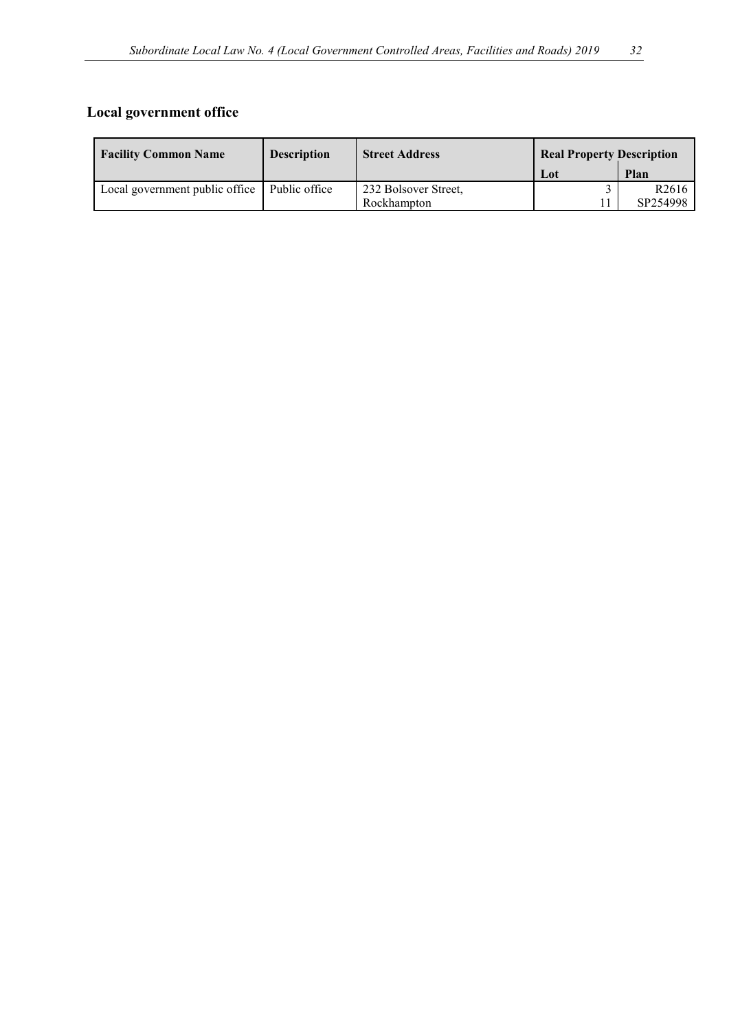### **Local government office**

| <b>Facility Common Name</b>    | <b>Description</b> | <b>Street Address</b> | <b>Real Property Description</b> |                   |
|--------------------------------|--------------------|-----------------------|----------------------------------|-------------------|
|                                |                    |                       | Lot                              | Plan              |
| Local government public office | Public office      | 232 Bolsover Street,  |                                  | R <sub>2616</sub> |
|                                |                    | Rockhampton           |                                  | SP254998          |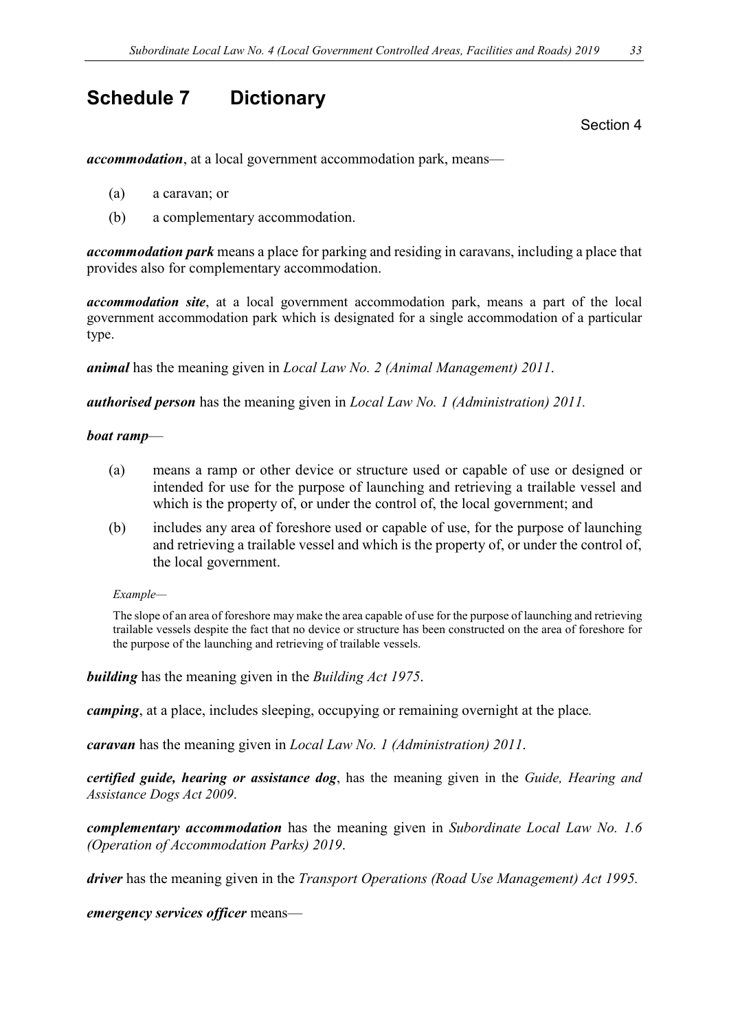## <span id="page-32-0"></span>**Schedule 7 Dictionary**

Section 4

*accommodation*, at a local government accommodation park, means—

- (a) a caravan; or
- (b) a complementary accommodation.

*accommodation park* means a place for parking and residing in caravans, including a place that provides also for complementary accommodation.

*accommodation site*, at a local government accommodation park, means a part of the local government accommodation park which is designated for a single accommodation of a particular type.

*animal* has the meaning given in *Local Law No. 2 (Animal Management) 2011*.

*authorised person* has the meaning given in *Local Law No. 1 (Administration) 2011.*

#### *boat ramp*—

- (a) means a ramp or other device or structure used or capable of use or designed or intended for use for the purpose of launching and retrieving a trailable vessel and which is the property of, or under the control of, the local government; and
- (b) includes any area of foreshore used or capable of use, for the purpose of launching and retrieving a trailable vessel and which is the property of, or under the control of, the local government.

#### *Example—*

The slope of an area of foreshore may make the area capable of use for the purpose of launching and retrieving trailable vessels despite the fact that no device or structure has been constructed on the area of foreshore for the purpose of the launching and retrieving of trailable vessels.

*building* has the meaning given in the *Building Act 1975*.

*camping*, at a place, includes sleeping, occupying or remaining overnight at the place*.*

*caravan* has the meaning given in *Local Law No. 1 (Administration) 2011*.

*certified guide, hearing or assistance dog*, has the meaning given in the *Guide, Hearing and Assistance Dogs Act 2009*.

*complementary accommodation* has the meaning given in *Subordinate Local Law No. 1.6 (Operation of Accommodation Parks) 2019*.

*driver* has the meaning given in the *Transport Operations (Road Use Management) Act 1995.*

*emergency services officer* means—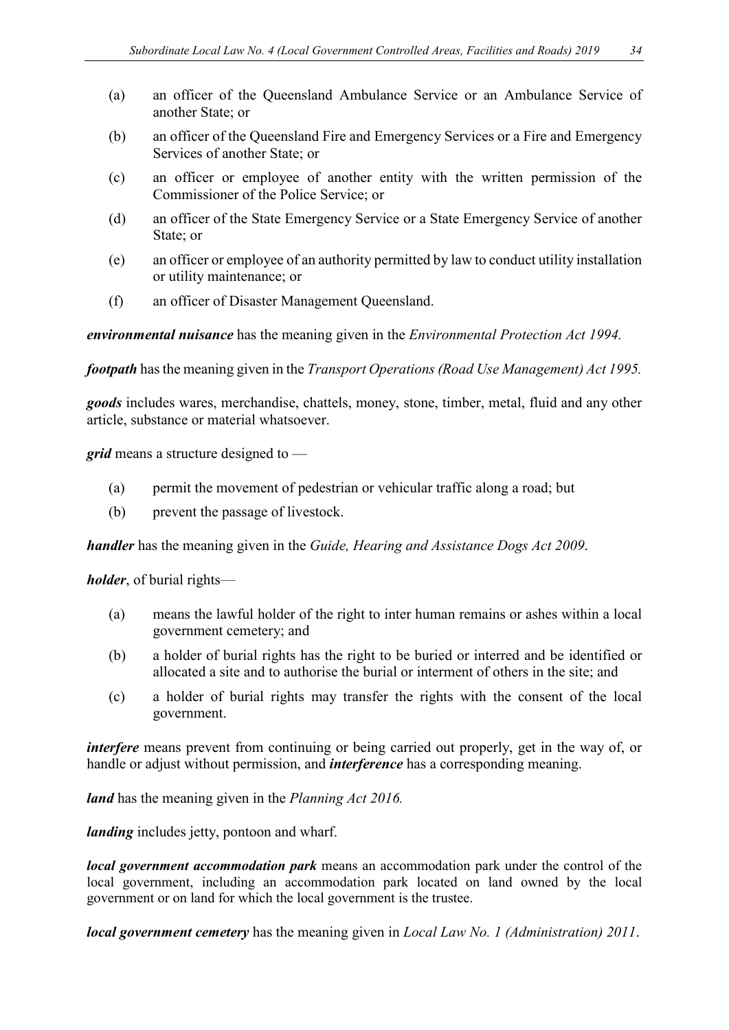- (a) an officer of the Queensland Ambulance Service or an Ambulance Service of another State; or
- (b) an officer of the Queensland Fire and Emergency Services or a Fire and Emergency Services of another State; or
- (c) an officer or employee of another entity with the written permission of the Commissioner of the Police Service; or
- (d) an officer of the State Emergency Service or a State Emergency Service of another State; or
- (e) an officer or employee of an authority permitted by law to conduct utility installation or utility maintenance; or
- (f) an officer of Disaster Management Queensland.

*environmental nuisance* has the meaning given in the *Environmental Protection Act 1994.*

*footpath* has the meaning given in the *Transport Operations (Road Use Management) Act 1995.*

*goods* includes wares, merchandise, chattels, money, stone, timber, metal, fluid and any other article, substance or material whatsoever.

*grid* means a structure designed to —

- (a) permit the movement of pedestrian or vehicular traffic along a road; but
- (b) prevent the passage of livestock.

*handler* has the meaning given in the *Guide, Hearing and Assistance Dogs Act 2009*.

*holder*, of burial rights—

- (a) means the lawful holder of the right to inter human remains or ashes within a local government cemetery; and
- (b) a holder of burial rights has the right to be buried or interred and be identified or allocated a site and to authorise the burial or interment of others in the site; and
- (c) a holder of burial rights may transfer the rights with the consent of the local government.

*interfere* means prevent from continuing or being carried out properly, get in the way of, or handle or adjust without permission, and *interference* has a corresponding meaning.

*land* has the meaning given in the *Planning Act 2016.* 

*landing* includes jetty, pontoon and wharf.

*local government accommodation park* means an accommodation park under the control of the local government, including an accommodation park located on land owned by the local government or on land for which the local government is the trustee.

*local government cemetery* has the meaning given in *Local Law No. 1 (Administration) 2011*.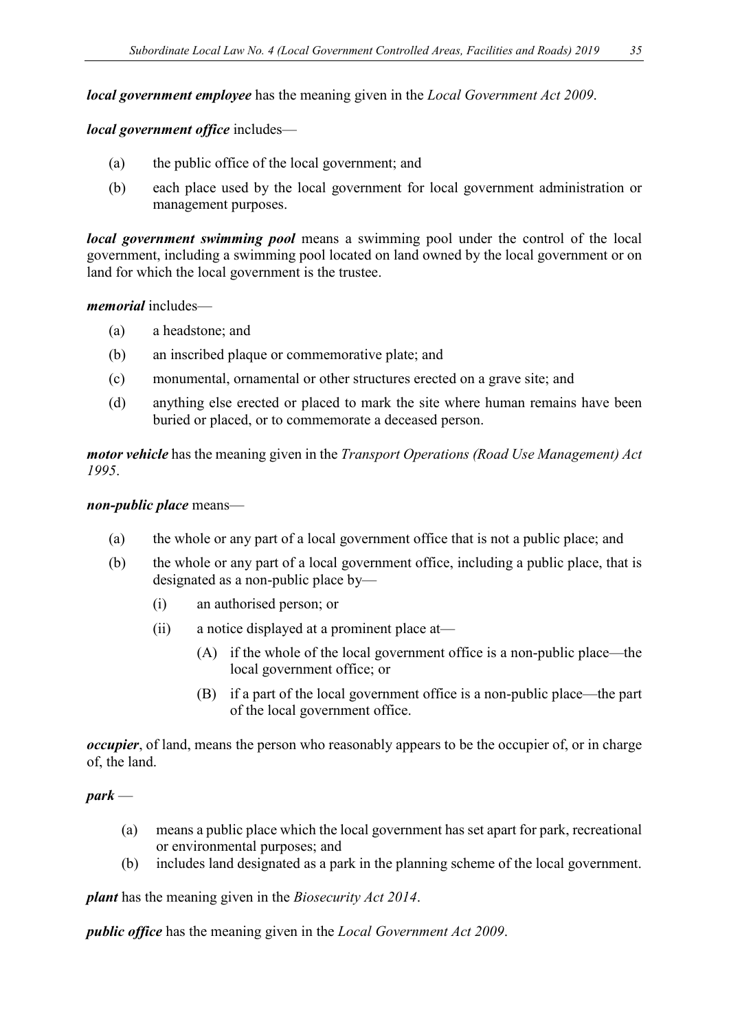*local government employee* has the meaning given in the *Local Government Act 2009*.

*local government office* includes—

- (a) the public office of the local government; and
- (b) each place used by the local government for local government administration or management purposes.

*local government swimming pool* means a swimming pool under the control of the local government, including a swimming pool located on land owned by the local government or on land for which the local government is the trustee.

*memorial* includes—

- (a) a headstone; and
- (b) an inscribed plaque or commemorative plate; and
- (c) monumental, ornamental or other structures erected on a grave site; and
- (d) anything else erected or placed to mark the site where human remains have been buried or placed, or to commemorate a deceased person.

*motor vehicle* has the meaning given in the *Transport Operations (Road Use Management) Act 1995*.

#### *non-public place* means—

- (a) the whole or any part of a local government office that is not a public place; and
- (b) the whole or any part of a local government office, including a public place, that is designated as a non-public place by—
	- (i) an authorised person; or
	- (ii) a notice displayed at a prominent place at—
		- (A) if the whole of the local government office is a non-public place—the local government office; or
		- (B) if a part of the local government office is a non-public place—the part of the local government office.

*occupier*, of land, means the person who reasonably appears to be the occupier of, or in charge of, the land.

#### *park* —

- (a) means a public place which the local government has set apart for park, recreational or environmental purposes; and
- (b) includes land designated as a park in the planning scheme of the local government.

*plant* has the meaning given in the *Biosecurity Act 2014*.

*public office* has the meaning given in the *Local Government Act 2009*.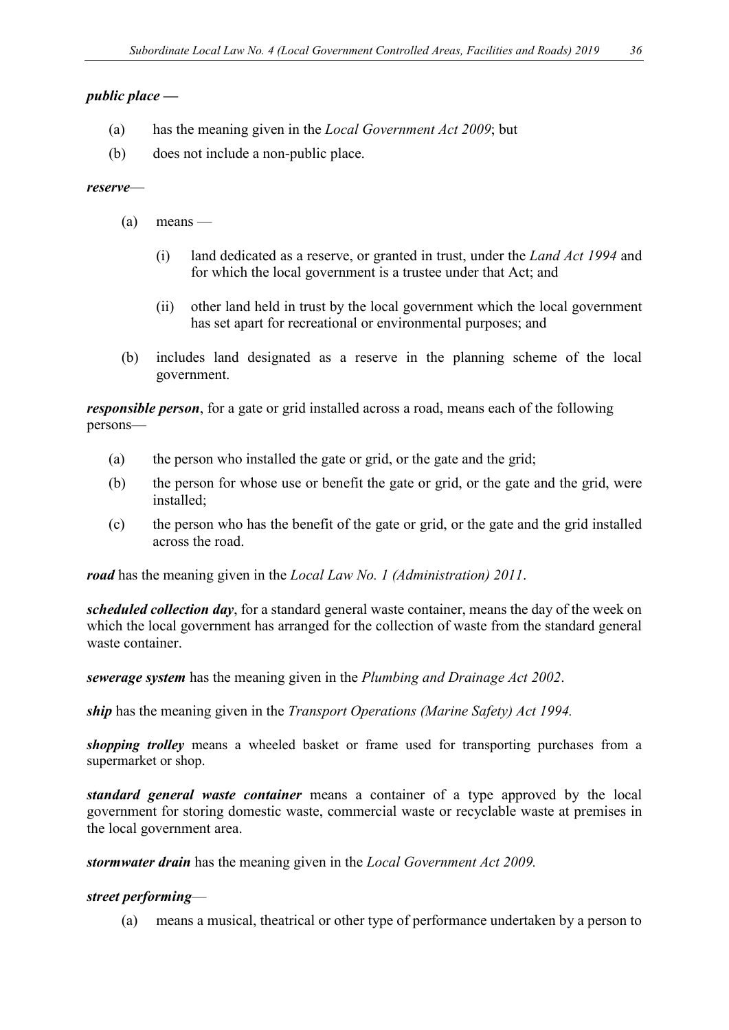#### *public place —*

- (a) has the meaning given in the *Local Government Act 2009*; but
- (b) does not include a non-public place.

#### *reserve*—

- $(a)$  means
	- (i) land dedicated as a reserve, or granted in trust, under the *Land Act 1994* and for which the local government is a trustee under that Act; and
	- (ii) other land held in trust by the local government which the local government has set apart for recreational or environmental purposes; and
- (b) includes land designated as a reserve in the planning scheme of the local government.

*responsible person*, for a gate or grid installed across a road, means each of the following persons—

- (a) the person who installed the gate or grid, or the gate and the grid;
- (b) the person for whose use or benefit the gate or grid, or the gate and the grid, were installed;
- (c) the person who has the benefit of the gate or grid, or the gate and the grid installed across the road.

*road* has the meaning given in the *Local Law No. 1 (Administration) 2011*.

*scheduled collection day*, for a standard general waste container, means the day of the week on which the local government has arranged for the collection of waste from the standard general waste container.

*sewerage system* has the meaning given in the *Plumbing and Drainage Act 2002*.

*ship* has the meaning given in the *Transport Operations (Marine Safety) Act 1994.*

*shopping trolley* means a wheeled basket or frame used for transporting purchases from a supermarket or shop.

*standard general waste container* means a container of a type approved by the local government for storing domestic waste, commercial waste or recyclable waste at premises in the local government area.

*stormwater drain* has the meaning given in the *Local Government Act 2009.*

#### *street performing*—

(a) means a musical, theatrical or other type of performance undertaken by a person to